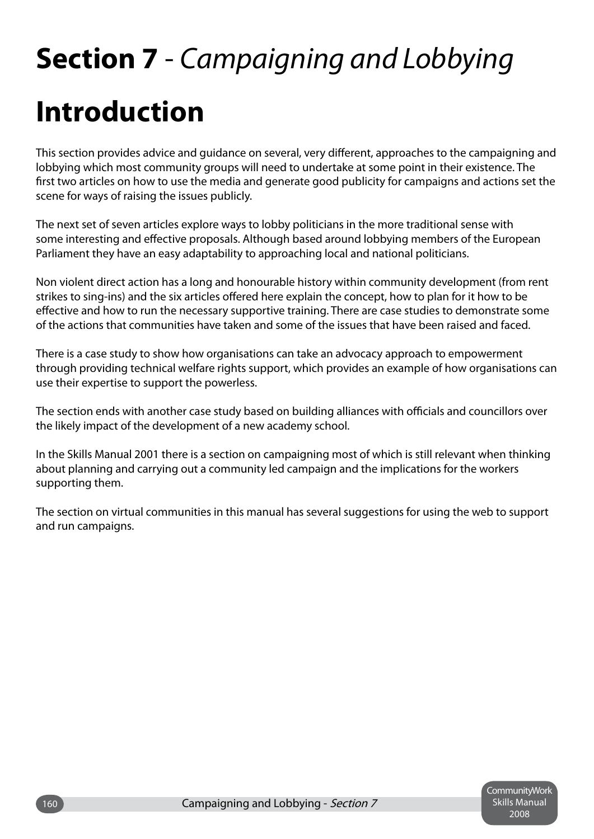# **Section 7** - *Campaigning and Lobbying* **Introduction**

This section provides advice and guidance on several, very different, approaches to the campaigning and lobbying which most community groups will need to undertake at some point in their existence. The first two articles on how to use the media and generate good publicity for campaigns and actions set the scene for ways of raising the issues publicly.

The next set of seven articles explore ways to lobby politicians in the more traditional sense with some interesting and effective proposals. Although based around lobbying members of the European Parliament they have an easy adaptability to approaching local and national politicians.

Non violent direct action has a long and honourable history within community development (from rent strikes to sing-ins) and the six articles offered here explain the concept, how to plan for it how to be effective and how to run the necessary supportive training. There are case studies to demonstrate some of the actions that communities have taken and some of the issues that have been raised and faced.

There is a case study to show how organisations can take an advocacy approach to empowerment through providing technical welfare rights support, which provides an example of how organisations can use their expertise to support the powerless.

The section ends with another case study based on building alliances with officials and councillors over the likely impact of the development of a new academy school.

In the Skills Manual 2001 there is a section on campaigning most of which is still relevant when thinking about planning and carrying out a community led campaign and the implications for the workers supporting them.

The section on virtual communities in this manual has several suggestions for using the web to support and run campaigns.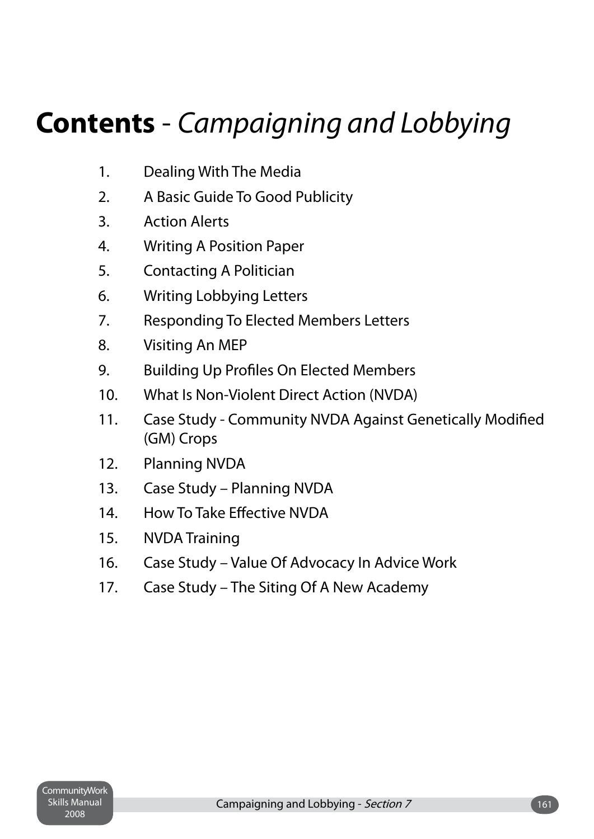## **Contents** - *Campaigning and Lobbying*

- 1. Dealing With The Media
- 2. A Basic Guide To Good Publicity
- 3. Action Alerts
- 4. Writing A Position Paper
- 5. Contacting A Politician
- 6. Writing Lobbying Letters
- 7. Responding To Elected Members Letters
- 8. Visiting An MEP
- 9. Building Up Profiles On Elected Members
- 10. What Is Non-Violent Direct Action (NVDA)
- 11. Case Study Community NVDA Against Genetically Modified (GM) Crops
- 12. Planning NVDA
- 13. Case Study Planning NVDA
- 14. How To Take Effective NVDA
- 15. NVDA Training
- 16. Case Study Value Of Advocacy In Advice Work
- 17. Case Study The Siting Of A New Academy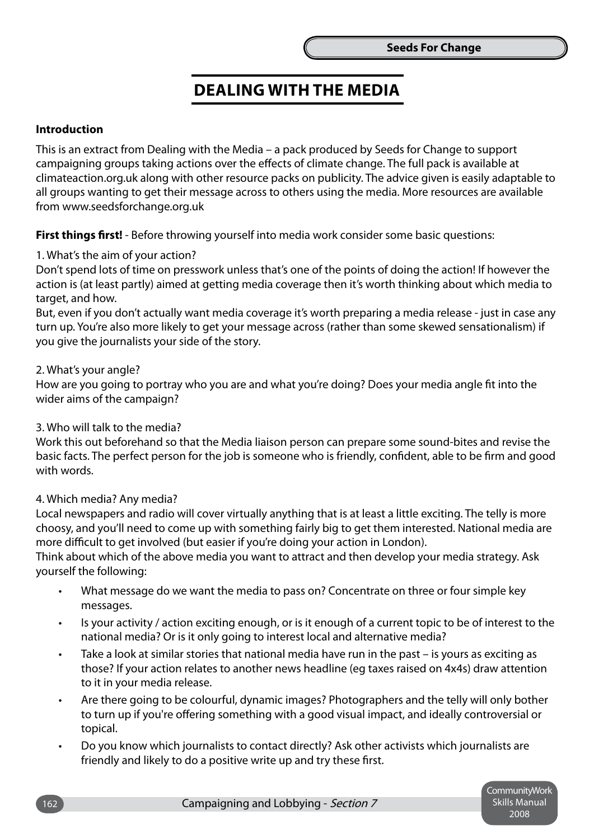### **Dealing With the Media**

### **Introduction**

This is an extract from Dealing with the Media – a pack produced by Seeds for Change to support campaigning groups taking actions over the effects of climate change. The full pack is available at climateaction.org.uk along with other resource packs on publicity. The advice given is easily adaptable to all groups wanting to get their message across to others using the media. More resources are available from www.seedsforchange.org.uk

**First things first!** - Before throwing yourself into media work consider some basic questions:

#### 1. What's the aim of your action?

Don't spend lots of time on presswork unless that's one of the points of doing the action! If however the action is (at least partly) aimed at getting media coverage then it's worth thinking about which media to target, and how.

But, even if you don't actually want media coverage it's worth preparing a media release - just in case any turn up. You're also more likely to get your message across (rather than some skewed sensationalism) if you give the journalists your side of the story.

### 2. What's your angle?

How are you going to portray who you are and what you're doing? Does your media angle fit into the wider aims of the campaign?

3. Who will talk to the media?

Work this out beforehand so that the Media liaison person can prepare some sound-bites and revise the basic facts. The perfect person for the job is someone who is friendly, confident, able to be firm and good with words.

#### 4. Which media? Any media?

Local newspapers and radio will cover virtually anything that is at least a little exciting. The telly is more choosy, and you'll need to come up with something fairly big to get them interested. National media are more difficult to get involved (but easier if you're doing your action in London).

Think about which of the above media you want to attract and then develop your media strategy. Ask yourself the following:

- What message do we want the media to pass on? Concentrate on three or four simple key messages. •
- Is your activity / action exciting enough, or is it enough of a current topic to be of interest to the national media? Or is it only going to interest local and alternative media? •
- Take a look at similar stories that national media have run in the past is yours as exciting as those? If your action relates to another news headline (eg taxes raised on 4x4s) draw attention to it in your media release. •
- Are there going to be colourful, dynamic images? Photographers and the telly will only bother to turn up if you're offering something with a good visual impact, and ideally controversial or topical. •
- Do you know which journalists to contact directly? Ask other activists which journalists are friendly and likely to do a positive write up and try these first. •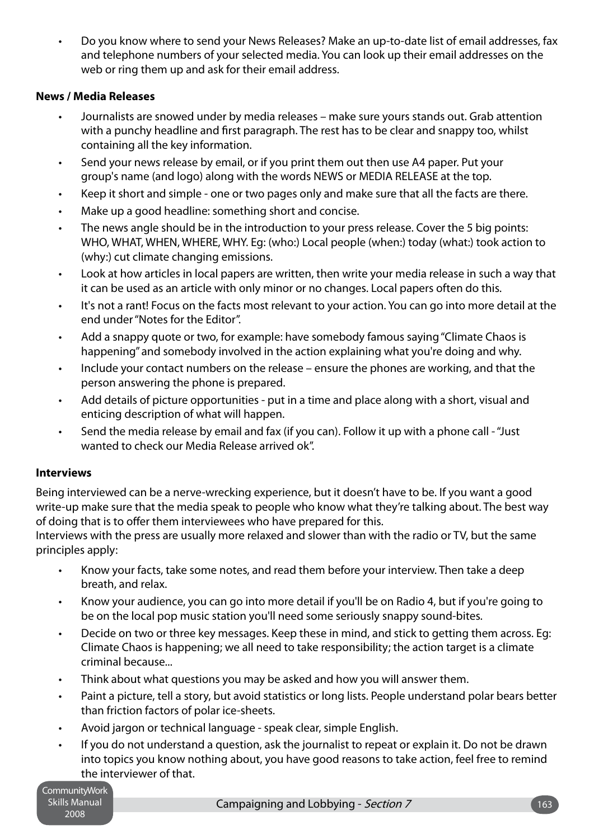Do you know where to send your News Releases? Make an up-to-date list of email addresses, fax and telephone numbers of your selected media. You can look up their email addresses on the web or ring them up and ask for their email address. •

### **News / Media Releases**

- Journalists are snowed under by media releases make sure yours stands out. Grab attention with a punchy headline and first paragraph. The rest has to be clear and snappy too, whilst containing all the key information. •
- Send your news release by email, or if you print them out then use A4 paper. Put your group's name (and logo) along with the words NEWS or MEDIA RELEASE at the top. •
- Keep it short and simple one or two pages only and make sure that all the facts are there. •
- Make up a good headline: something short and concise. •
- The news angle should be in the introduction to your press release. Cover the 5 big points: WHO, WHAT, WHEN, WHERE, WHY. Eg: (who:) Local people (when:) today (what:) took action to (why:) cut climate changing emissions. •
- Look at how articles in local papers are written, then write your media release in such a way that it can be used as an article with only minor or no changes. Local papers often do this. •
- It's not a rant! Focus on the facts most relevant to your action. You can go into more detail at the end under "Notes for the Editor". •
- Add a snappy quote or two, for example: have somebody famous saying "Climate Chaos is happening" and somebody involved in the action explaining what you're doing and why. •
- Include your contact numbers on the release ensure the phones are working, and that the person answering the phone is prepared. •
- Add details of picture opportunities put in a time and place along with a short, visual and enticing description of what will happen. •
- Send the media release by email and fax (if you can). Follow it up with a phone call "Just wanted to check our Media Release arrived ok". •

### **Interviews**

Being interviewed can be a nerve-wrecking experience, but it doesn't have to be. If you want a good write-up make sure that the media speak to people who know what they're talking about. The best way of doing that is to offer them interviewees who have prepared for this.

Interviews with the press are usually more relaxed and slower than with the radio or TV, but the same principles apply:

- Know your facts, take some notes, and read them before your interview. Then take a deep breath, and relax. •
- Know your audience, you can go into more detail if you'll be on Radio 4, but if you're going to be on the local pop music station you'll need some seriously snappy sound-bites. •
- Decide on two or three key messages. Keep these in mind, and stick to getting them across. Eg: Climate Chaos is happening; we all need to take responsibility; the action target is a climate criminal because... •
- Think about what questions you may be asked and how you will answer them. •
- Paint a picture, tell a story, but avoid statistics or long lists. People understand polar bears better than friction factors of polar ice-sheets. •
- Avoid jargon or technical language speak clear, simple English. •
- If you do not understand a question, ask the journalist to repeat or explain it. Do not be drawn into topics you know nothing about, you have good reasons to take action, feel free to remind the interviewer of that. •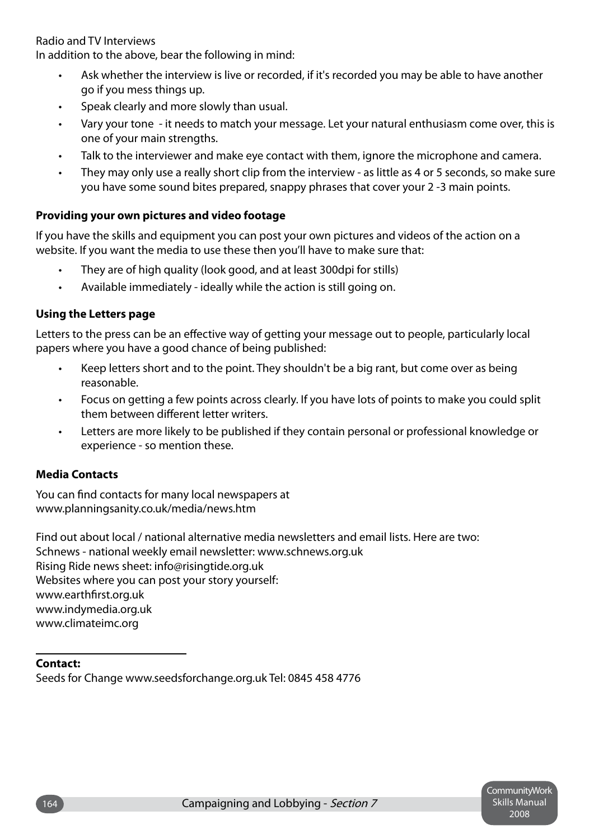Radio and TV Interviews

In addition to the above, bear the following in mind:

- Ask whether the interview is live or recorded, if it's recorded you may be able to have another go if you mess things up. •
- Speak clearly and more slowly than usual. •
- Vary your tone it needs to match your message. Let your natural enthusiasm come over, this is one of your main strengths. •
- Talk to the interviewer and make eye contact with them, ignore the microphone and camera. •
- They may only use a really short clip from the interview as little as 4 or 5 seconds, so make sure you have some sound bites prepared, snappy phrases that cover your 2 -3 main points. •

### **Providing your own pictures and video footage**

If you have the skills and equipment you can post your own pictures and videos of the action on a website. If you want the media to use these then you'll have to make sure that:

- They are of high quality (look good, and at least 300dpi for stills) •
- Available immediately ideally while the action is still going on. •

### **Using the Letters page**

Letters to the press can be an effective way of getting your message out to people, particularly local papers where you have a good chance of being published:

- Keep letters short and to the point. They shouldn't be a big rant, but come over as being reasonable. •
- Focus on getting a few points across clearly. If you have lots of points to make you could split them between different letter writers. •
- Letters are more likely to be published if they contain personal or professional knowledge or experience - so mention these. •

### **Media Contacts**

You can find contacts for many local newspapers at www.planningsanity.co.uk/media/news.htm

Find out about local / national alternative media newsletters and email lists. Here are two: Schnews - national weekly email newsletter: www.schnews.org.uk Rising Ride news sheet: info@risingtide.org.uk Websites where you can post your story yourself: www.earthfirst.org.uk www.indymedia.org.uk www.climateimc.org

### **Contact:**

Seeds for Change www.seedsforchange.org.uk Tel: 0845 458 4776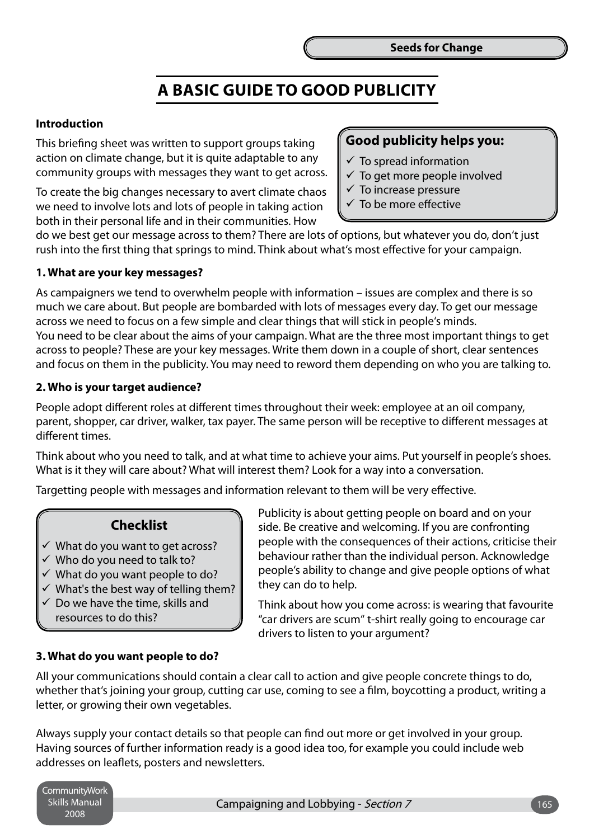### **A Basic Guide to Good Publicity**

### **Introduction**

This briefing sheet was written to support groups taking action on climate change, but it is quite adaptable to any community groups with messages they want to get across.

To create the big changes necessary to avert climate chaos we need to involve lots and lots of people in taking action both in their personal life and in their communities. How

### **Good publicity helps you:**

- $\checkmark$  To spread information
- $\checkmark$  To get more people involved
- $\checkmark$  To increase pressure
- $\checkmark$  To be more effective

do we best get our message across to them? There are lots of options, but whatever you do, don't just rush into the first thing that springs to mind. Think about what's most effective for your campaign.

### **1. What are your key messages?**

As campaigners we tend to overwhelm people with information – issues are complex and there is so much we care about. But people are bombarded with lots of messages every day. To get our message across we need to focus on a few simple and clear things that will stick in people's minds. You need to be clear about the aims of your campaign. What are the three most important things to get across to people? These are your key messages. Write them down in a couple of short, clear sentences and focus on them in the publicity. You may need to reword them depending on who you are talking to.

### **2. Who is your target audience?**

People adopt different roles at different times throughout their week: employee at an oil company, parent, shopper, car driver, walker, tax payer. The same person will be receptive to different messages at different times.

Think about who you need to talk, and at what time to achieve your aims. Put yourself in people's shoes. What is it they will care about? What will interest them? Look for a way into a conversation.

Targetting people with messages and information relevant to them will be very effective.

### **Checklist**

- $\checkmark$  What do you want to get across?
- $\checkmark$  Who do you need to talk to?
- $\checkmark$  What do you want people to do?
- $\checkmark$  What's the best way of telling them?
- $\checkmark$  Do we have the time, skills and resources to do this?

Publicity is about getting people on board and on your side. Be creative and welcoming. If you are confronting people with the consequences of their actions, criticise their behaviour rather than the individual person. Acknowledge people's ability to change and give people options of what they can do to help.

Think about how you come across: is wearing that favourite "car drivers are scum" t-shirt really going to encourage car drivers to listen to your argument?

### **3. What do you want people to do?**

All your communications should contain a clear call to action and give people concrete things to do, whether that's joining your group, cutting car use, coming to see a film, boycotting a product, writing a letter, or growing their own vegetables.

Always supply your contact details so that people can find out more or get involved in your group. Having sources of further information ready is a good idea too, for example you could include web addresses on leaflets, posters and newsletters.

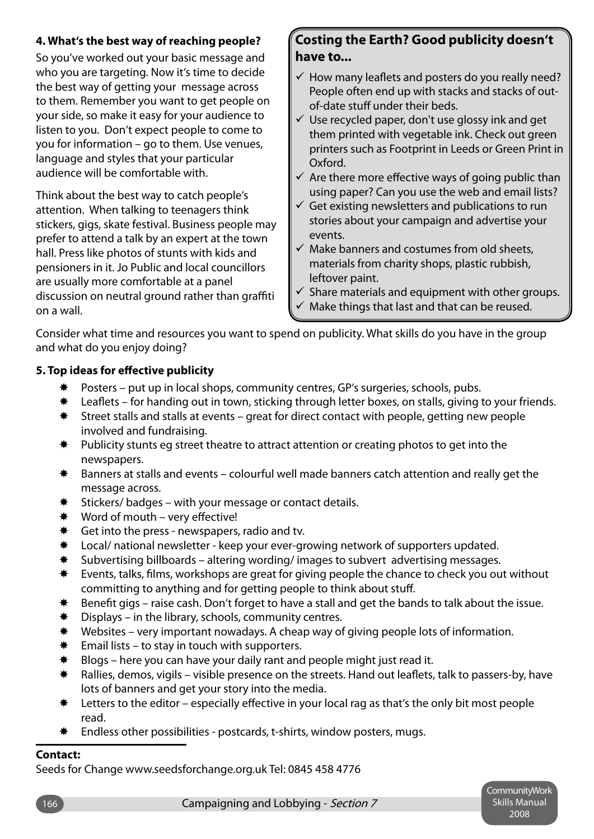### **4. What's the best way of reaching people?**

So you've worked out your basic message and who you are targeting. Now it's time to decide the best way of getting your message across to them. Remember you want to get people on your side, so make it easy for your audience to listen to you. Don't expect people to come to you for information – go to them. Use venues, language and styles that your particular audience will be comfortable with.

Think about the best way to catch people's attention. When talking to teenagers think stickers, gigs, skate festival. Business people may prefer to attend a talk by an expert at the town hall. Press like photos of stunts with kids and pensioners in it. Jo Public and local councillors are usually more comfortable at a panel discussion on neutral ground rather than graffiti on a wall.

### **Costing the Earth? Good publicity doesn't have to...**

- $\checkmark$  How many leaflets and posters do you really need? People often end up with stacks and stacks of outof-date stuff under their beds.
- $\checkmark$  Use recycled paper, don't use glossy ink and get them printed with vegetable ink. Check out green printers such as Footprint in Leeds or Green Print in Oxford.
- $\checkmark$  Are there more effective ways of going public than using paper? Can you use the web and email lists?
- $\checkmark$  Get existing newsletters and publications to run stories about your campaign and advertise your events.
- $\checkmark$  Make banners and costumes from old sheets, materials from charity shops, plastic rubbish, leftover paint.
- $\checkmark$  Share materials and equipment with other groups.
- $\checkmark$  Make things that last and that can be reused.

Consider what time and resources you want to spend on publicity. What skills do you have in the group and what do you enjoy doing?

### **5. Top ideas for effective publicity**

- Posters put up in local shops, community centres, GP's surgeries, schools, pubs. ₩
- Leaflets for handing out in town, sticking through letter boxes, on stalls, giving to your friends. ₩
- Street stalls and stalls at events great for direct contact with people, getting new people involved and fundraising. ☀
- Publicity stunts eg street theatre to attract attention or creating photos to get into the newspapers. ₩.
- Banners at stalls and events colourful well made banners catch attention and really get the message across.  $\bigstar$
- Stickers/ badges with your message or contact details. ₩.
- Word of mouth very effective! ₩
- Get into the press newspapers, radio and tv. ₩
- Local/ national newsletter keep your ever-growing network of supporters updated. **☀**
- Subvertising billboards altering wording/ images to subvert advertising messages. ₩
- Events, talks, films, workshops are great for giving people the chance to check you out without committing to anything and for getting people to think about stuff. ₩.
- Benefit gigs raise cash. Don't forget to have a stall and get the bands to talk about the issue. **☀**
- Displays in the library, schools, community centres. ₩
- Websites very important nowadays. A cheap way of giving people lots of information. ₩
- Email lists to stay in touch with supporters. ₩.
- Blogs here you can have your daily rant and people might just read it. ₩.
- Rallies, demos, vigils visible presence on the streets. Hand out leaflets, talk to passers-by, have lots of banners and get your story into the media.  $\bigstar$
- Letters to the editor especially effective in your local rag as that's the only bit most people read. ₩
- \* Endless other possibilities postcards, t-shirts, window posters, mugs.

### **Contact:**

Seeds for Change www.seedsforchange.org.uk Tel: 0845 458 4776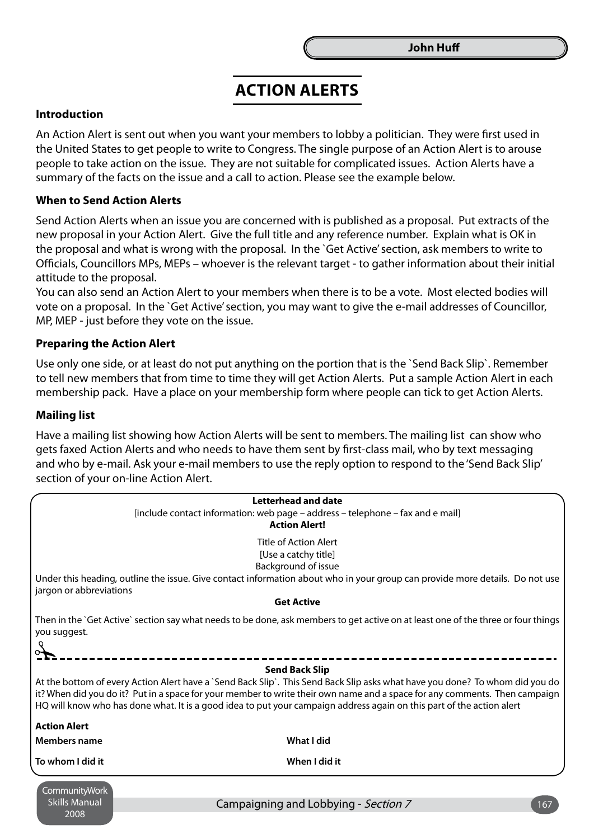### **Action Alerts**

### **Introduction**

An Action Alert is sent out when you want your members to lobby a politician. They were first used in the United States to get people to write to Congress. The single purpose of an Action Alert is to arouse people to take action on the issue. They are not suitable for complicated issues. Action Alerts have a summary of the facts on the issue and a call to action. Please see the example below.

#### **When to Send Action Alerts**

Send Action Alerts when an issue you are concerned with is published as a proposal. Put extracts of the new proposal in your Action Alert. Give the full title and any reference number. Explain what is OK in the proposal and what is wrong with the proposal. In the `Get Active' section, ask members to write to Officials, Councillors MPs, MEPs – whoever is the relevant target - to gather information about their initial attitude to the proposal.

You can also send an Action Alert to your members when there is to be a vote. Most elected bodies will vote on a proposal. In the `Get Active' section, you may want to give the e-mail addresses of Councillor, MP, MEP - just before they vote on the issue.

#### **Preparing the Action Alert**

Use only one side, or at least do not put anything on the portion that is the `Send Back Slip`. Remember to tell new members that from time to time they will get Action Alerts. Put a sample Action Alert in each membership pack. Have a place on your membership form where people can tick to get Action Alerts.

#### **Mailing list**

2008

Have a mailing list showing how Action Alerts will be sent to members. The mailing list can show who gets faxed Action Alerts and who needs to have them sent by first-class mail, who by text messaging and who by e-mail. Ask your e-mail members to use the reply option to respond to the 'Send Back Slip' section of your on-line Action Alert.

|                                                                                                                                                                                                                                                                                                                                                                                                              | <b>Letterhead and date</b><br>[include contact information: web page - address - telephone - fax and e mail]<br><b>Action Alert!</b>                                                                        |
|--------------------------------------------------------------------------------------------------------------------------------------------------------------------------------------------------------------------------------------------------------------------------------------------------------------------------------------------------------------------------------------------------------------|-------------------------------------------------------------------------------------------------------------------------------------------------------------------------------------------------------------|
| jargon or abbreviations                                                                                                                                                                                                                                                                                                                                                                                      | <b>Title of Action Alert</b><br>[Use a catchy title]<br>Background of issue<br>Under this heading, outline the issue. Give contact information about who in your group can provide more details. Do not use |
|                                                                                                                                                                                                                                                                                                                                                                                                              | <b>Get Active</b>                                                                                                                                                                                           |
| you suggest.                                                                                                                                                                                                                                                                                                                                                                                                 | Then in the `Get Active` section say what needs to be done, ask members to get active on at least one of the three or four things                                                                           |
| <b>Send Back Slip</b><br>At the bottom of every Action Alert have a `Send Back Slip`. This Send Back Slip asks what have you done? To whom did you do<br>it? When did you do it? Put in a space for your member to write their own name and a space for any comments. Then campaign<br>HQ will know who has done what. It is a good idea to put your campaign address again on this part of the action alert |                                                                                                                                                                                                             |
| <b>Action Alert</b>                                                                                                                                                                                                                                                                                                                                                                                          |                                                                                                                                                                                                             |
| <b>Members name</b>                                                                                                                                                                                                                                                                                                                                                                                          | What I did                                                                                                                                                                                                  |
| To whom I did it                                                                                                                                                                                                                                                                                                                                                                                             | When I did it                                                                                                                                                                                               |
| CommunityWork<br><b>Skills Manual</b>                                                                                                                                                                                                                                                                                                                                                                        | Campaigning and Lobbying - Section 7<br>167                                                                                                                                                                 |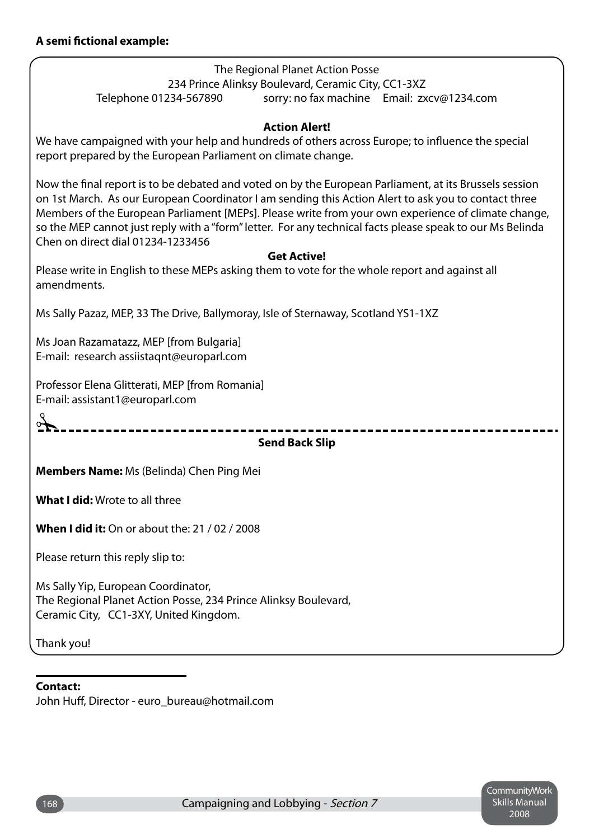The Regional Planet Action Posse 234 Prince Alinksy Boulevard, Ceramic City, CC1-3XZ Telephone 01234-567890 sorry: no fax machine Email: zxcv@1234.com

### **Action Alert!**

We have campaigned with your help and hundreds of others across Europe; to influence the special report prepared by the European Parliament on climate change.

Now the final report is to be debated and voted on by the European Parliament, at its Brussels session on 1st March. As our European Coordinator I am sending this Action Alert to ask you to contact three Members of the European Parliament [MEPs]. Please write from your own experience of climate change, so the MEP cannot just reply with a "form" letter. For any technical facts please speak to our Ms Belinda Chen on direct dial 01234-1233456

### **Get Active!**

Please write in English to these MEPs asking them to vote for the whole report and against all amendments.

Ms Sally Pazaz, MEP, 33 The Drive, Ballymoray, Isle of Sternaway, Scotland YS1-1XZ

Ms Joan Razamatazz, MEP [from Bulgaria] E-mail: research assiistaqnt@europarl.com

Professor Elena Glitterati, MEP [from Romania] E-mail: assistant1@europarl.com

 $\mathcal{F}$ 

### **Send Back Slip**

**Members Name:** Ms (Belinda) Chen Ping Mei

**What I did:** Wrote to all three

**When I did it:** On or about the: 21 / 02 / 2008

Please return this reply slip to:

Ms Sally Yip, European Coordinator, The Regional Planet Action Posse, 234 Prince Alinksy Boulevard, Ceramic City, CC1-3XY, United Kingdom.

Thank you!

#### **Contact:**

John Huff, Director - euro\_bureau@hotmail.com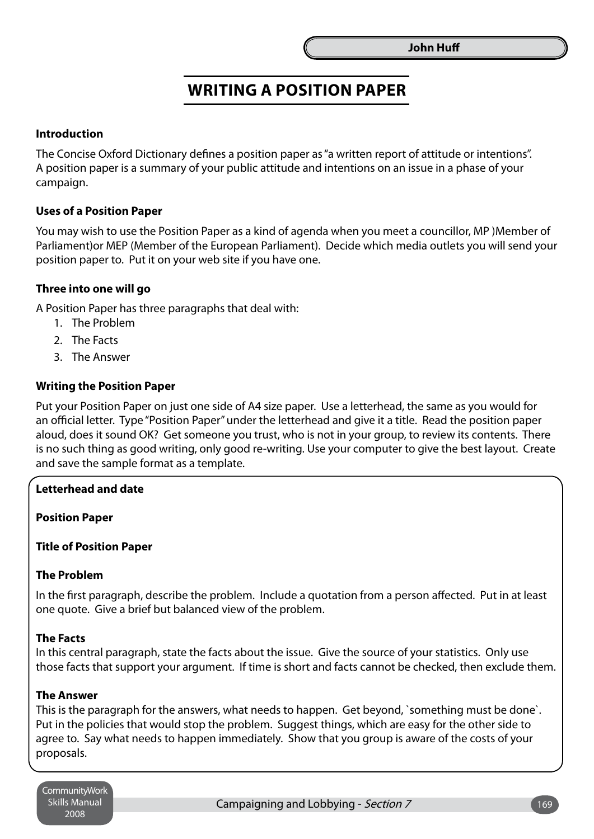### **Writing a Position Paper**

### **Introduction**

The Concise Oxford Dictionary defines a position paper as "a written report of attitude or intentions". A position paper is a summary of your public attitude and intentions on an issue in a phase of your campaign.

### **Uses of a Position Paper**

You may wish to use the Position Paper as a kind of agenda when you meet a councillor, MP )Member of Parliament)or MEP (Member of the European Parliament). Decide which media outlets you will send your position paper to. Put it on your web site if you have one.

### **Three into one will go**

A Position Paper has three paragraphs that deal with:

- 1. The Problem
- 2. The Facts
- 3. The Answer

### **Writing the Position Paper**

Put your Position Paper on just one side of A4 size paper. Use a letterhead, the same as you would for an official letter. Type "Position Paper" under the letterhead and give it a title. Read the position paper aloud, does it sound OK? Get someone you trust, who is not in your group, to review its contents. There is no such thing as good writing, only good re-writing. Use your computer to give the best layout. Create and save the sample format as a template.

### **Letterhead and date**

**Position Paper**

#### **Title of Position Paper**

### **The Problem**

In the first paragraph, describe the problem. Include a quotation from a person affected. Put in at least one quote. Give a brief but balanced view of the problem.

#### **The Facts**

In this central paragraph, state the facts about the issue. Give the source of your statistics. Only use those facts that support your argument. If time is short and facts cannot be checked, then exclude them.

### **The Answer**

This is the paragraph for the answers, what needs to happen. Get beyond, `something must be done`. Put in the policies that would stop the problem. Suggest things, which are easy for the other side to agree to. Say what needs to happen immediately. Show that you group is aware of the costs of your proposals.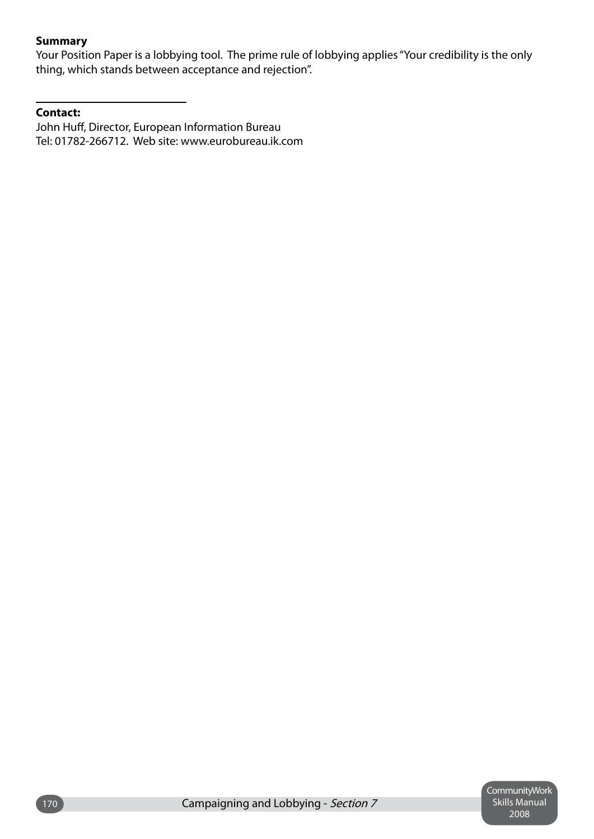### **Summary**

Your Position Paper is a lobbying tool. The prime rule of lobbying applies "Your credibility is the only thing, which stands between acceptance and rejection".

### **Contact:**

John Huff, Director, European Information Bureau Tel: 01782-266712. Web site: www.eurobureau.ik.com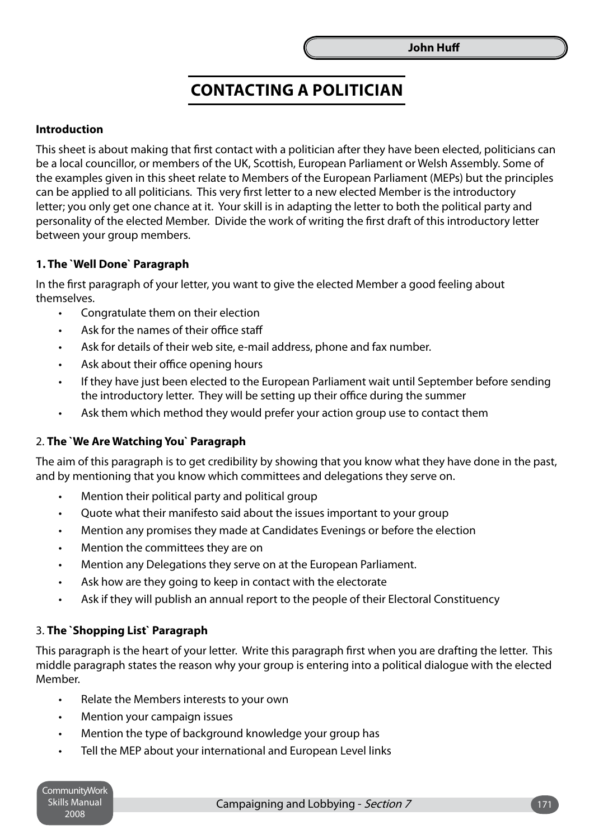### **Contacting a Politician**

### **Introduction**

This sheet is about making that first contact with a politician after they have been elected, politicians can be a local councillor, or members of the UK, Scottish, European Parliament or Welsh Assembly. Some of the examples given in this sheet relate to Members of the European Parliament (MEPs) but the principles can be applied to all politicians. This very first letter to a new elected Member is the introductory letter; you only get one chance at it. Your skill is in adapting the letter to both the political party and personality of the elected Member. Divide the work of writing the first draft of this introductory letter between your group members.

### **1. The `Well Done` Paragraph**

In the first paragraph of your letter, you want to give the elected Member a good feeling about themselves.

- Congratulate them on their election •
- Ask for the names of their office staff •
- Ask for details of their web site, e-mail address, phone and fax number. •
- Ask about their office opening hours •
- If they have just been elected to the European Parliament wait until September before sending the introductory letter. They will be setting up their office during the summer •
- Ask them which method they would prefer your action group use to contact them •

#### 2. **The `We Are Watching You` Paragraph**

The aim of this paragraph is to get credibility by showing that you know what they have done in the past, and by mentioning that you know which committees and delegations they serve on.

- Mention their political party and political group •
- Quote what their manifesto said about the issues important to your group •
- Mention any promises they made at Candidates Evenings or before the election •
- Mention the committees they are on •
- Mention any Delegations they serve on at the European Parliament. •
- Ask how are they going to keep in contact with the electorate •
- Ask if they will publish an annual report to the people of their Electoral Constituency •

### 3. **The `Shopping List` Paragraph**

This paragraph is the heart of your letter. Write this paragraph first when you are drafting the letter. This middle paragraph states the reason why your group is entering into a political dialogue with the elected Member.

- Relate the Members interests to your own •
- Mention your campaign issues •
- Mention the type of background knowledge your group has •
- Tell the MEP about your international and European Level links •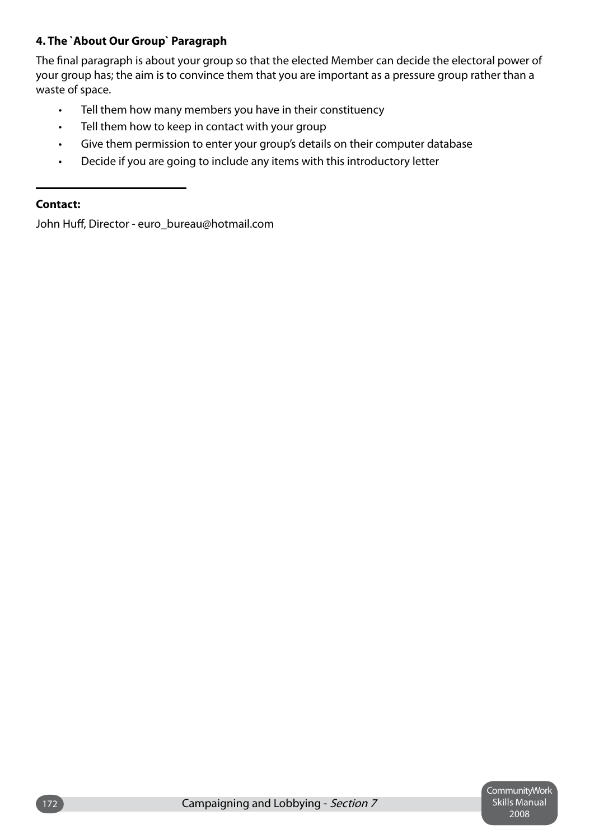### **4. The `About Our Group` Paragraph**

The final paragraph is about your group so that the elected Member can decide the electoral power of your group has; the aim is to convince them that you are important as a pressure group rather than a waste of space.

- Tell them how many members you have in their constituency •
- Tell them how to keep in contact with your group •
- Give them permission to enter your group's details on their computer database •
- Decide if you are going to include any items with this introductory letter •

### **Contact:**

John Huff, Director - euro bureau@hotmail.com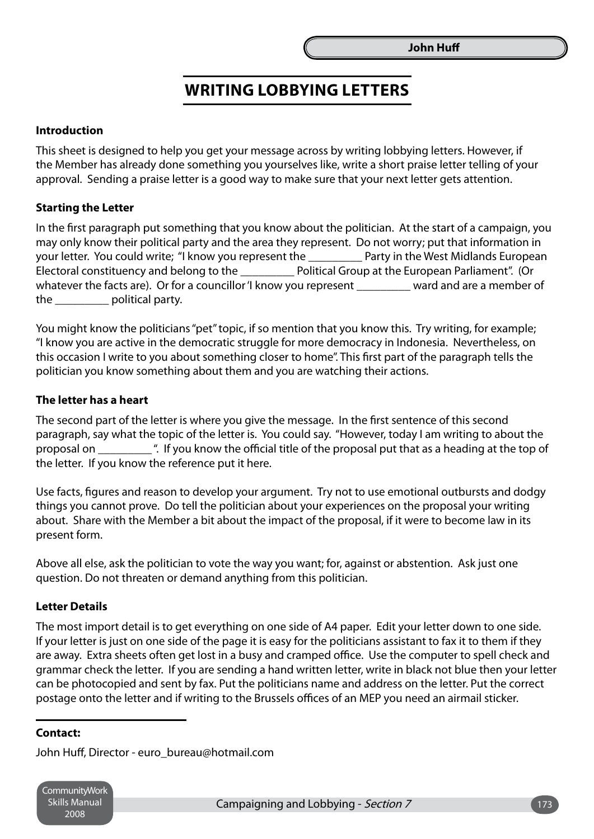### **Writing Lobbying Letters**

### **Introduction**

This sheet is designed to help you get your message across by writing lobbying letters. However, if the Member has already done something you yourselves like, write a short praise letter telling of your approval. Sending a praise letter is a good way to make sure that your next letter gets attention.

### **Starting the Letter**

In the first paragraph put something that you know about the politician. At the start of a campaign, you may only know their political party and the area they represent. Do not worry; put that information in your letter. You could write; "I know you represent the Train Party in the West Midlands European Electoral constituency and belong to the \_\_\_\_\_\_\_\_\_ Political Group at the European Parliament". (Or whatever the facts are). Or for a councillor 'I know you represent ward and are a member of the **political party.** 

You might know the politicians "pet" topic, if so mention that you know this. Try writing, for example; "I know you are active in the democratic struggle for more democracy in Indonesia. Nevertheless, on this occasion I write to you about something closer to home". This first part of the paragraph tells the politician you know something about them and you are watching their actions.

### **The letter has a heart**

The second part of the letter is where you give the message. In the first sentence of this second paragraph, say what the topic of the letter is. You could say. "However, today I am writing to about the proposal on \_\_\_\_\_\_\_\_\_ ". If you know the official title of the proposal put that as a heading at the top of the letter. If you know the reference put it here.

Use facts, figures and reason to develop your argument. Try not to use emotional outbursts and dodgy things you cannot prove. Do tell the politician about your experiences on the proposal your writing about. Share with the Member a bit about the impact of the proposal, if it were to become law in its present form.

Above all else, ask the politician to vote the way you want; for, against or abstention. Ask just one question. Do not threaten or demand anything from this politician.

#### **Letter Details**

The most import detail is to get everything on one side of A4 paper. Edit your letter down to one side. If your letter is just on one side of the page it is easy for the politicians assistant to fax it to them if they are away. Extra sheets often get lost in a busy and cramped office. Use the computer to spell check and grammar check the letter. If you are sending a hand written letter, write in black not blue then your letter can be photocopied and sent by fax. Put the politicians name and address on the letter. Put the correct postage onto the letter and if writing to the Brussels offices of an MEP you need an airmail sticker.

#### **Contact:**

John Huff, Director - euro\_bureau@hotmail.com

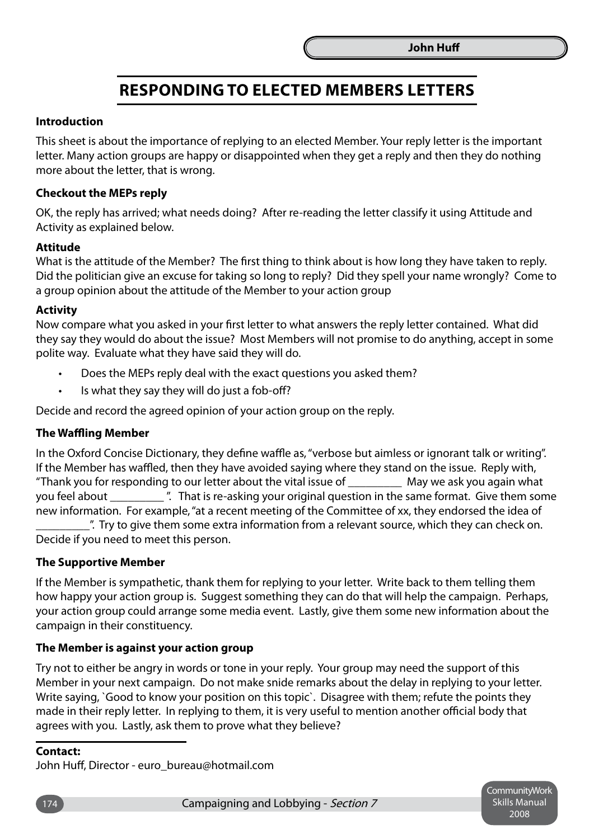### **Responding to Elected Members Letters**

### **Introduction**

This sheet is about the importance of replying to an elected Member. Your reply letter is the important letter. Many action groups are happy or disappointed when they get a reply and then they do nothing more about the letter, that is wrong.

### **Checkout the MEPs reply**

OK, the reply has arrived; what needs doing? After re-reading the letter classify it using Attitude and Activity as explained below.

### **Attitude**

What is the attitude of the Member? The first thing to think about is how long they have taken to reply. Did the politician give an excuse for taking so long to reply? Did they spell your name wrongly? Come to a group opinion about the attitude of the Member to your action group

### **Activity**

Now compare what you asked in your first letter to what answers the reply letter contained. What did they say they would do about the issue? Most Members will not promise to do anything, accept in some polite way. Evaluate what they have said they will do.

- Does the MEPs reply deal with the exact questions you asked them? •
- Is what they say they will do just a fob-off? •

Decide and record the agreed opinion of your action group on the reply.

### **The Waffling Member**

In the Oxford Concise Dictionary, they define waffle as, "verbose but aimless or ignorant talk or writing". If the Member has waffled, then they have avoided saying where they stand on the issue. Reply with, "Thank you for responding to our letter about the vital issue of \_\_\_\_\_\_\_\_\_ May we ask you again what you feel about  $\blacksquare$  . That is re-asking your original question in the same format. Give them some new information. For example, "at a recent meeting of the Committee of xx, they endorsed the idea of  $\mu$ . Try to give them some extra information from a relevant source, which they can check on.

Decide if you need to meet this person.

### **The Supportive Member**

If the Member is sympathetic, thank them for replying to your letter. Write back to them telling them how happy your action group is. Suggest something they can do that will help the campaign. Perhaps, your action group could arrange some media event. Lastly, give them some new information about the campaign in their constituency.

#### **The Member is against your action group**

Try not to either be angry in words or tone in your reply. Your group may need the support of this Member in your next campaign. Do not make snide remarks about the delay in replying to your letter. Write saying, `Good to know your position on this topic`. Disagree with them; refute the points they made in their reply letter. In replying to them, it is very useful to mention another official body that agrees with you. Lastly, ask them to prove what they believe?

### **Contact:**

John Huff, Director - euro\_bureau@hotmail.com

Community Work Skills Manual 2008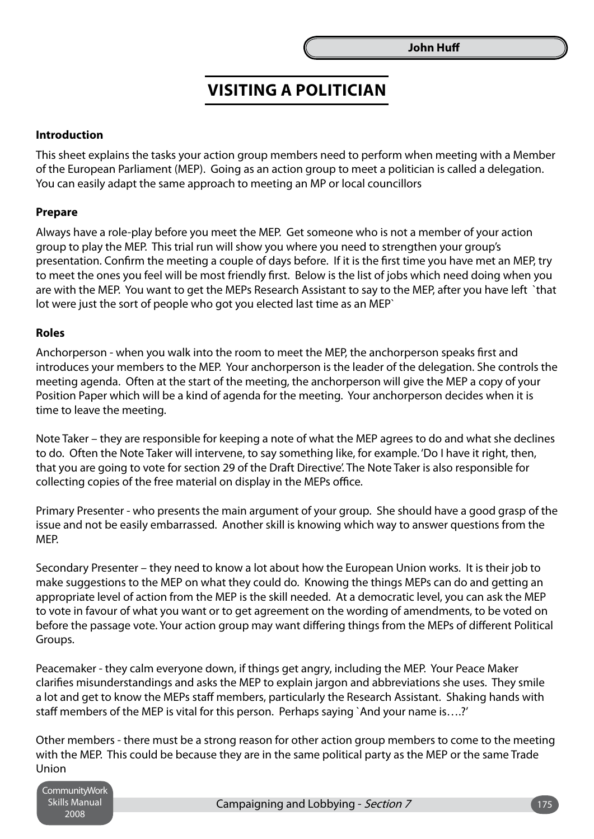### **Visiting a Politician**

### **Introduction**

This sheet explains the tasks your action group members need to perform when meeting with a Member of the European Parliament (MEP). Going as an action group to meet a politician is called a delegation. You can easily adapt the same approach to meeting an MP or local councillors

### **Prepare**

Always have a role-play before you meet the MEP. Get someone who is not a member of your action group to play the MEP. This trial run will show you where you need to strengthen your group's presentation. Confirm the meeting a couple of days before. If it is the first time you have met an MEP, try to meet the ones you feel will be most friendly first. Below is the list of jobs which need doing when you are with the MEP. You want to get the MEPs Research Assistant to say to the MEP, after you have left `that lot were just the sort of people who got you elected last time as an MEP`

#### **Roles**

Anchorperson - when you walk into the room to meet the MEP, the anchorperson speaks first and introduces your members to the MEP. Your anchorperson is the leader of the delegation. She controls the meeting agenda. Often at the start of the meeting, the anchorperson will give the MEP a copy of your Position Paper which will be a kind of agenda for the meeting. Your anchorperson decides when it is time to leave the meeting.

Note Taker – they are responsible for keeping a note of what the MEP agrees to do and what she declines to do. Often the Note Taker will intervene, to say something like, for example. 'Do I have it right, then, that you are going to vote for section 29 of the Draft Directive'. The Note Taker is also responsible for collecting copies of the free material on display in the MEPs office.

Primary Presenter - who presents the main argument of your group. She should have a good grasp of the issue and not be easily embarrassed. Another skill is knowing which way to answer questions from the MEP.

Secondary Presenter – they need to know a lot about how the European Union works. It is their job to make suggestions to the MEP on what they could do. Knowing the things MEPs can do and getting an appropriate level of action from the MEP is the skill needed. At a democratic level, you can ask the MEP to vote in favour of what you want or to get agreement on the wording of amendments, to be voted on before the passage vote. Your action group may want differing things from the MEPs of different Political Groups.

Peacemaker - they calm everyone down, if things get angry, including the MEP. Your Peace Maker clarifies misunderstandings and asks the MEP to explain jargon and abbreviations she uses. They smile a lot and get to know the MEPs staff members, particularly the Research Assistant. Shaking hands with staff members of the MEP is vital for this person. Perhaps saying `And your name is….?'

Other members - there must be a strong reason for other action group members to come to the meeting with the MEP. This could be because they are in the same political party as the MEP or the same Trade Union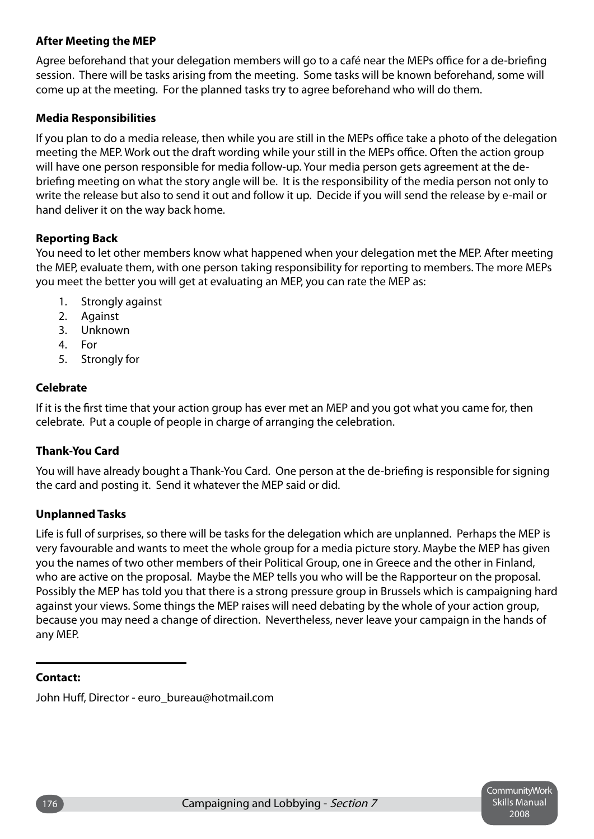### **After Meeting the MEP**

Agree beforehand that your delegation members will go to a café near the MEPs office for a de-briefing session. There will be tasks arising from the meeting. Some tasks will be known beforehand, some will come up at the meeting. For the planned tasks try to agree beforehand who will do them.

### **Media Responsibilities**

If you plan to do a media release, then while you are still in the MEPs office take a photo of the delegation meeting the MEP. Work out the draft wording while your still in the MEPs office. Often the action group will have one person responsible for media follow-up. Your media person gets agreement at the debriefing meeting on what the story angle will be. It is the responsibility of the media person not only to write the release but also to send it out and follow it up. Decide if you will send the release by e-mail or hand deliver it on the way back home.

### **Reporting Back**

You need to let other members know what happened when your delegation met the MEP. After meeting the MEP, evaluate them, with one person taking responsibility for reporting to members. The more MEPs you meet the better you will get at evaluating an MEP, you can rate the MEP as:

- Strongly against 1.
- Against 2.
- Unknown 3.
- 4. For
- Strongly for 5.

### **Celebrate**

If it is the first time that your action group has ever met an MEP and you got what you came for, then celebrate. Put a couple of people in charge of arranging the celebration.

### **Thank-You Card**

You will have already bought a Thank-You Card. One person at the de-briefing is responsible for signing the card and posting it. Send it whatever the MEP said or did.

### **Unplanned Tasks**

Life is full of surprises, so there will be tasks for the delegation which are unplanned. Perhaps the MEP is very favourable and wants to meet the whole group for a media picture story. Maybe the MEP has given you the names of two other members of their Political Group, one in Greece and the other in Finland, who are active on the proposal. Maybe the MEP tells you who will be the Rapporteur on the proposal. Possibly the MEP has told you that there is a strong pressure group in Brussels which is campaigning hard against your views. Some things the MEP raises will need debating by the whole of your action group, because you may need a change of direction. Nevertheless, never leave your campaign in the hands of any MEP.

### **Contact:**

John Huff, Director - euro\_bureau@hotmail.com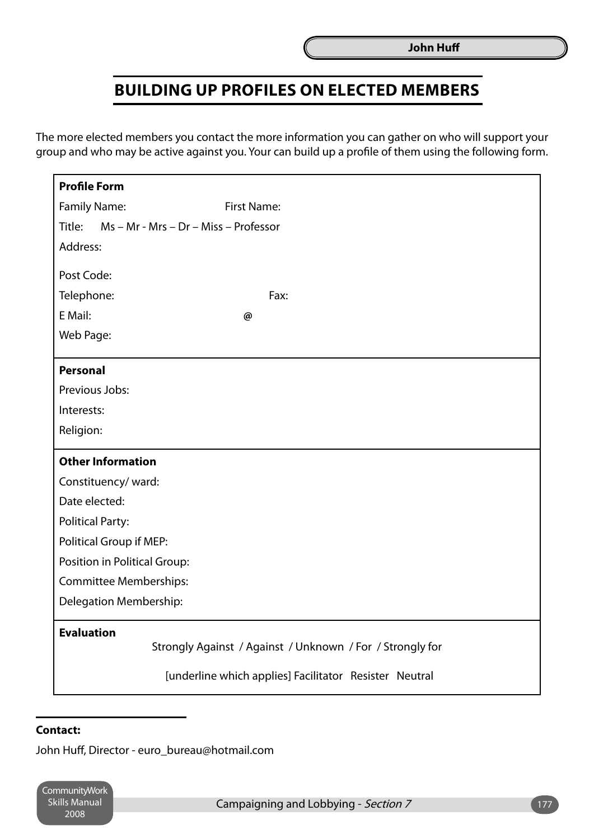### **Building up Profiles on Elected Members**

The more elected members you contact the more information you can gather on who will support your group and who may be active against you. Your can build up a profile of them using the following form.

| <b>Profile Form</b>                                                                                                                      |                    |  |
|------------------------------------------------------------------------------------------------------------------------------------------|--------------------|--|
| <b>Family Name:</b>                                                                                                                      | <b>First Name:</b> |  |
| Title: Ms - Mr - Mrs - Dr - Miss - Professor                                                                                             |                    |  |
| Address:                                                                                                                                 |                    |  |
| Post Code:                                                                                                                               |                    |  |
| Telephone:                                                                                                                               | Fax:               |  |
| E Mail:                                                                                                                                  | @                  |  |
| Web Page:                                                                                                                                |                    |  |
| <b>Personal</b>                                                                                                                          |                    |  |
| Previous Jobs:                                                                                                                           |                    |  |
| Interests:                                                                                                                               |                    |  |
| Religion:                                                                                                                                |                    |  |
| <b>Other Information</b>                                                                                                                 |                    |  |
| Constituency/ward:                                                                                                                       |                    |  |
| Date elected:                                                                                                                            |                    |  |
| <b>Political Party:</b>                                                                                                                  |                    |  |
| Political Group if MEP:                                                                                                                  |                    |  |
| Position in Political Group:                                                                                                             |                    |  |
| <b>Committee Memberships:</b>                                                                                                            |                    |  |
| Delegation Membership:                                                                                                                   |                    |  |
| <b>Evaluation</b><br>Strongly Against / Against / Unknown / For / Strongly for<br>[underline which applies] Facilitator Resister Neutral |                    |  |
|                                                                                                                                          |                    |  |

### **Contact:**

John Huff, Director - euro\_bureau@hotmail.com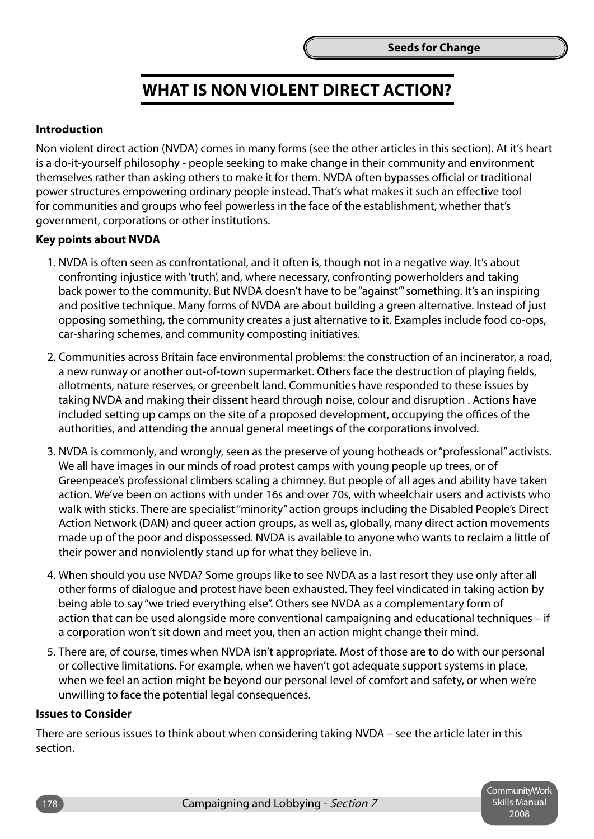### **What is Non Violent Direct Action?**

### **Introduction**

Non violent direct action (NVDA) comes in many forms (see the other articles in this section). At it's heart is a do-it-yourself philosophy - people seeking to make change in their community and environment themselves rather than asking others to make it for them. NVDA often bypasses official or traditional power structures empowering ordinary people instead. That's what makes it such an effective tool for communities and groups who feel powerless in the face of the establishment, whether that's government, corporations or other institutions.

### **Key points about NVDA**

- 1. NVDA is often seen as confrontational, and it often is, though not in a negative way. It's about confronting injustice with 'truth', and, where necessary, confronting powerholders and taking back power to the community. But NVDA doesn't have to be "against"' something. It's an inspiring and positive technique. Many forms of NVDA are about building a green alternative. Instead of just opposing something, the community creates a just alternative to it. Examples include food co-ops, car-sharing schemes, and community composting initiatives.
- 2. Communities across Britain face environmental problems: the construction of an incinerator, a road, a new runway or another out-of-town supermarket. Others face the destruction of playing fields, allotments, nature reserves, or greenbelt land. Communities have responded to these issues by taking NVDA and making their dissent heard through noise, colour and disruption . Actions have included setting up camps on the site of a proposed development, occupying the offices of the authorities, and attending the annual general meetings of the corporations involved.
- 3. NVDA is commonly, and wrongly, seen as the preserve of young hotheads or "professional" activists. We all have images in our minds of road protest camps with young people up trees, or of Greenpeace's professional climbers scaling a chimney. But people of all ages and ability have taken action. We've been on actions with under 16s and over 70s, with wheelchair users and activists who walk with sticks. There are specialist "minority" action groups including the Disabled People's Direct Action Network (DAN) and queer action groups, as well as, globally, many direct action movements made up of the poor and dispossessed. NVDA is available to anyone who wants to reclaim a little of their power and nonviolently stand up for what they believe in.
- 4. When should you use NVDA? Some groups like to see NVDA as a last resort they use only after all other forms of dialogue and protest have been exhausted. They feel vindicated in taking action by being able to say "we tried everything else". Others see NVDA as a complementary form of action that can be used alongside more conventional campaigning and educational techniques – if a corporation won't sit down and meet you, then an action might change their mind.
- 5. There are, of course, times when NVDA isn't appropriate. Most of those are to do with our personal or collective limitations. For example, when we haven't got adequate support systems in place, when we feel an action might be beyond our personal level of comfort and safety, or when we're unwilling to face the potential legal consequences.

#### **Issues to Consider**

There are serious issues to think about when considering taking NVDA – see the article later in this section.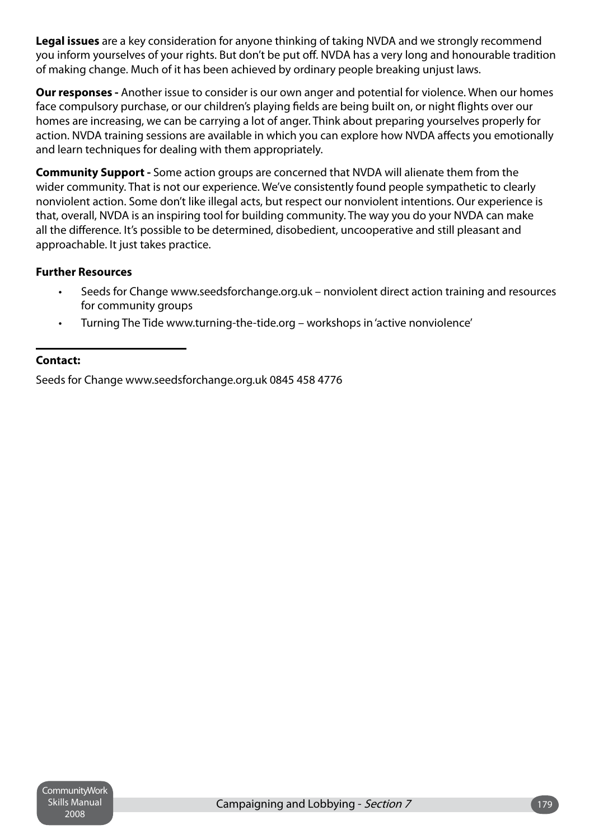**Legal issues** are a key consideration for anyone thinking of taking NVDA and we strongly recommend you inform yourselves of your rights. But don't be put off. NVDA has a very long and honourable tradition of making change. Much of it has been achieved by ordinary people breaking unjust laws.

**Our responses -** Another issue to consider is our own anger and potential for violence. When our homes face compulsory purchase, or our children's playing fields are being built on, or night flights over our homes are increasing, we can be carrying a lot of anger. Think about preparing yourselves properly for action. NVDA training sessions are available in which you can explore how NVDA affects you emotionally and learn techniques for dealing with them appropriately.

**Community Support -** Some action groups are concerned that NVDA will alienate them from the wider community. That is not our experience. We've consistently found people sympathetic to clearly nonviolent action. Some don't like illegal acts, but respect our nonviolent intentions. Our experience is that, overall, NVDA is an inspiring tool for building community. The way you do your NVDA can make all the difference. It's possible to be determined, disobedient, uncooperative and still pleasant and approachable. It just takes practice.

### **Further Resources**

- Seeds for Change www.seedsforchange.org.uk nonviolent direct action training and resources for community groups •
- Turning The Tide www.turning-the-tide.org workshops in 'active nonviolence' •

### **Contact:**

Seeds for Change www.seedsforchange.org.uk 0845 458 4776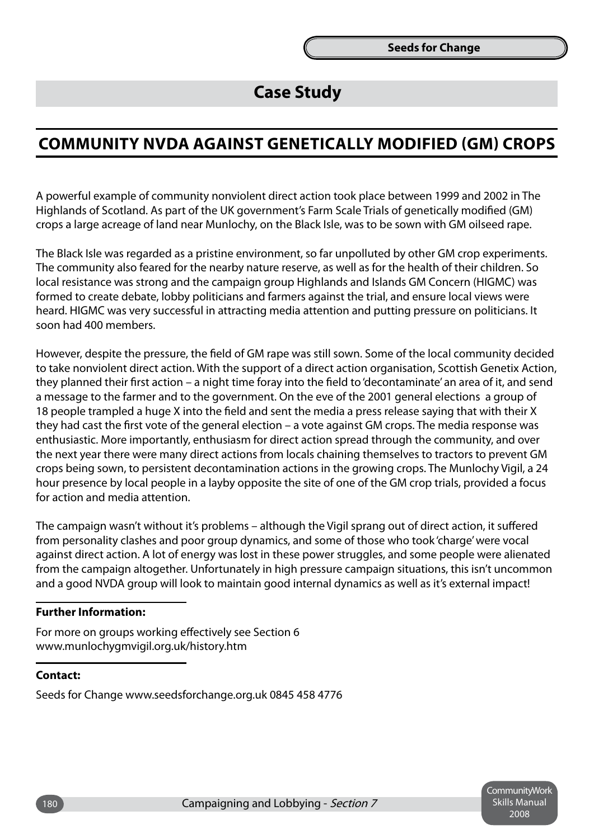### **Case Study**

### **Community NVDA Against Genetically Modified (GM) crops**

A powerful example of community nonviolent direct action took place between 1999 and 2002 in The Highlands of Scotland. As part of the UK government's Farm Scale Trials of genetically modified (GM) crops a large acreage of land near Munlochy, on the Black Isle, was to be sown with GM oilseed rape.

The Black Isle was regarded as a pristine environment, so far unpolluted by other GM crop experiments. The community also feared for the nearby nature reserve, as well as for the health of their children. So local resistance was strong and the campaign group Highlands and Islands GM Concern (HIGMC) was formed to create debate, lobby politicians and farmers against the trial, and ensure local views were heard. HIGMC was very successful in attracting media attention and putting pressure on politicians. It soon had 400 members.

However, despite the pressure, the field of GM rape was still sown. Some of the local community decided to take nonviolent direct action. With the support of a direct action organisation, Scottish Genetix Action, they planned their first action – a night time foray into the field to 'decontaminate' an area of it, and send a message to the farmer and to the government. On the eve of the 2001 general elections a group of 18 people trampled a huge X into the field and sent the media a press release saying that with their X they had cast the first vote of the general election – a vote against GM crops. The media response was enthusiastic. More importantly, enthusiasm for direct action spread through the community, and over the next year there were many direct actions from locals chaining themselves to tractors to prevent GM crops being sown, to persistent decontamination actions in the growing crops. The Munlochy Vigil, a 24 hour presence by local people in a layby opposite the site of one of the GM crop trials, provided a focus for action and media attention.

The campaign wasn't without it's problems – although the Vigil sprang out of direct action, it suffered from personality clashes and poor group dynamics, and some of those who took 'charge' were vocal against direct action. A lot of energy was lost in these power struggles, and some people were alienated from the campaign altogether. Unfortunately in high pressure campaign situations, this isn't uncommon and a good NVDA group will look to maintain good internal dynamics as well as it's external impact!

#### **Further Information:**

For more on groups working effectively see Section 6 www.munlochygmvigil.org.uk/history.htm

### **Contact:**

Seeds for Change www.seedsforchange.org.uk 0845 458 4776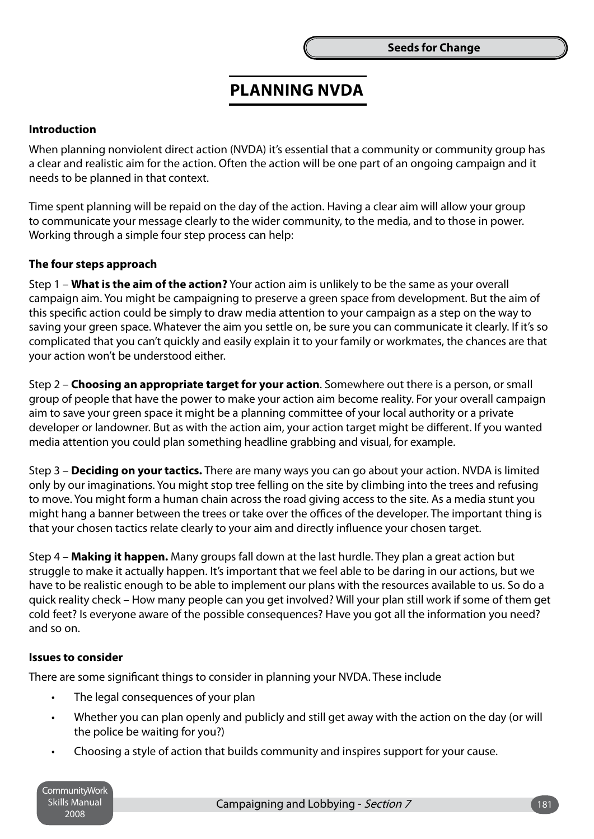### **Planning NVDA**

### **Introduction**

When planning nonviolent direct action (NVDA) it's essential that a community or community group has a clear and realistic aim for the action. Often the action will be one part of an ongoing campaign and it needs to be planned in that context.

Time spent planning will be repaid on the day of the action. Having a clear aim will allow your group to communicate your message clearly to the wider community, to the media, and to those in power. Working through a simple four step process can help:

### **The four steps approach**

Step 1 – **What is the aim of the action?** Your action aim is unlikely to be the same as your overall campaign aim. You might be campaigning to preserve a green space from development. But the aim of this specific action could be simply to draw media attention to your campaign as a step on the way to saving your green space. Whatever the aim you settle on, be sure you can communicate it clearly. If it's so complicated that you can't quickly and easily explain it to your family or workmates, the chances are that your action won't be understood either.

Step 2 – **Choosing an appropriate target for your action**. Somewhere out there is a person, or small group of people that have the power to make your action aim become reality. For your overall campaign aim to save your green space it might be a planning committee of your local authority or a private developer or landowner. But as with the action aim, your action target might be different. If you wanted media attention you could plan something headline grabbing and visual, for example.

Step 3 – **Deciding on your tactics.** There are many ways you can go about your action. NVDA is limited only by our imaginations. You might stop tree felling on the site by climbing into the trees and refusing to move. You might form a human chain across the road giving access to the site. As a media stunt you might hang a banner between the trees or take over the offices of the developer. The important thing is that your chosen tactics relate clearly to your aim and directly influence your chosen target.

Step 4 – **Making it happen.** Many groups fall down at the last hurdle. They plan a great action but struggle to make it actually happen. It's important that we feel able to be daring in our actions, but we have to be realistic enough to be able to implement our plans with the resources available to us. So do a quick reality check – How many people can you get involved? Will your plan still work if some of them get cold feet? Is everyone aware of the possible consequences? Have you got all the information you need? and so on.

#### **Issues to consider**

There are some significant things to consider in planning your NVDA. These include

- The legal consequences of your plan •
- Whether you can plan openly and publicly and still get away with the action on the day (or will the police be waiting for you?) •
- Choosing a style of action that builds community and inspires support for your cause. •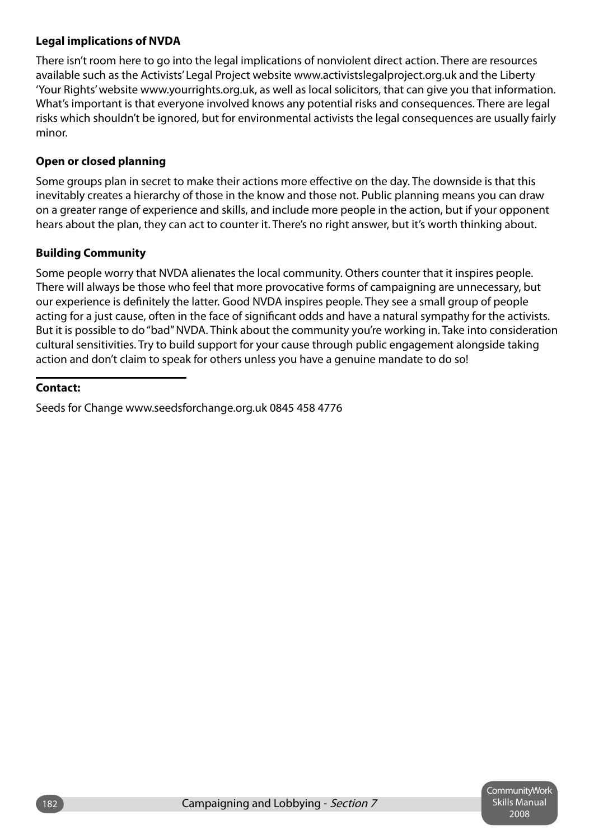### **Legal implications of NVDA**

There isn't room here to go into the legal implications of nonviolent direct action. There are resources available such as the Activists' Legal Project website www.activistslegalproject.org.uk and the Liberty 'Your Rights' website www.yourrights.org.uk, as well as local solicitors, that can give you that information. What's important is that everyone involved knows any potential risks and consequences. There are legal risks which shouldn't be ignored, but for environmental activists the legal consequences are usually fairly minor.

### **Open or closed planning**

Some groups plan in secret to make their actions more effective on the day. The downside is that this inevitably creates a hierarchy of those in the know and those not. Public planning means you can draw on a greater range of experience and skills, and include more people in the action, but if your opponent hears about the plan, they can act to counter it. There's no right answer, but it's worth thinking about.

### **Building Community**

Some people worry that NVDA alienates the local community. Others counter that it inspires people. There will always be those who feel that more provocative forms of campaigning are unnecessary, but our experience is definitely the latter. Good NVDA inspires people. They see a small group of people acting for a just cause, often in the face of significant odds and have a natural sympathy for the activists. But it is possible to do "bad" NVDA. Think about the community you're working in. Take into consideration cultural sensitivities. Try to build support for your cause through public engagement alongside taking action and don't claim to speak for others unless you have a genuine mandate to do so!

### **Contact:**

Seeds for Change www.seedsforchange.org.uk 0845 458 4776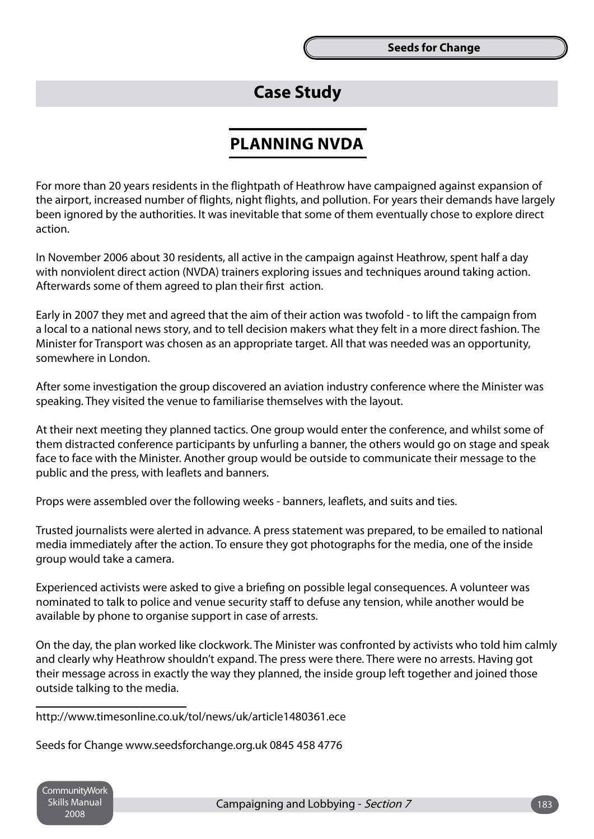### **Case Study**

### **Planning NVDA**

For more than 20 years residents in the flightpath of Heathrow have campaigned against expansion of the airport, increased number of flights, night flights, and pollution. For years their demands have largely been ignored by the authorities. It was inevitable that some of them eventually chose to explore direct action.

In November 2006 about 30 residents, all active in the campaign against Heathrow, spent half a day with nonviolent direct action (NVDA) trainers exploring issues and techniques around taking action. Afterwards some of them agreed to plan their first action.

Early in 2007 they met and agreed that the aim of their action was twofold - to lift the campaign from a local to a national news story, and to tell decision makers what they felt in a more direct fashion. The Minister for Transport was chosen as an appropriate target. All that was needed was an opportunity, somewhere in London.

After some investigation the group discovered an aviation industry conference where the Minister was speaking. They visited the venue to familiarise themselves with the layout.

At their next meeting they planned tactics. One group would enter the conference, and whilst some of them distracted conference participants by unfurling a banner, the others would go on stage and speak face to face with the Minister. Another group would be outside to communicate their message to the public and the press, with leaflets and banners.

Props were assembled over the following weeks - banners, leaflets, and suits and ties.

Trusted journalists were alerted in advance. A press statement was prepared, to be emailed to national media immediately after the action. To ensure they got photographs for the media, one of the inside group would take a camera.

Experienced activists were asked to give a briefing on possible legal consequences. A volunteer was nominated to talk to police and venue security staff to defuse any tension, while another would be available by phone to organise support in case of arrests.

On the day, the plan worked like clockwork. The Minister was confronted by activists who told him calmly and clearly why Heathrow shouldn't expand. The press were there. There were no arrests. Having got their message across in exactly the way they planned, the inside group left together and joined those outside talking to the media.

http://www.timesonline.co.uk/tol/news/uk/article1480361.ece

Seeds for Change www.seedsforchange.org.uk 0845 458 4776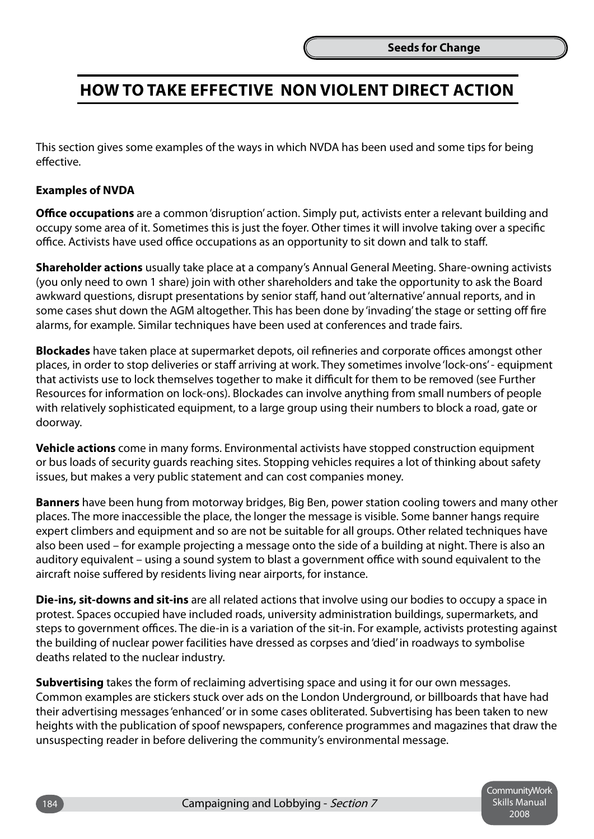### **How to Take Effective Non Violent Direct Action**

This section gives some examples of the ways in which NVDA has been used and some tips for being effective.

### **Examples of NVDA**

**Office occupations** are a common 'disruption' action. Simply put, activists enter a relevant building and occupy some area of it. Sometimes this is just the foyer. Other times it will involve taking over a specific office. Activists have used office occupations as an opportunity to sit down and talk to staff.

**Shareholder actions** usually take place at a company's Annual General Meeting. Share-owning activists (you only need to own 1 share) join with other shareholders and take the opportunity to ask the Board awkward questions, disrupt presentations by senior staff, hand out 'alternative' annual reports, and in some cases shut down the AGM altogether. This has been done by 'invading' the stage or setting off fire alarms, for example. Similar techniques have been used at conferences and trade fairs.

**Blockades** have taken place at supermarket depots, oil refineries and corporate offices amongst other places, in order to stop deliveries or staff arriving at work. They sometimes involve 'lock-ons' - equipment that activists use to lock themselves together to make it difficult for them to be removed (see Further Resources for information on lock-ons). Blockades can involve anything from small numbers of people with relatively sophisticated equipment, to a large group using their numbers to block a road, gate or doorway.

**Vehicle actions** come in many forms. Environmental activists have stopped construction equipment or bus loads of security guards reaching sites. Stopping vehicles requires a lot of thinking about safety issues, but makes a very public statement and can cost companies money.

**Banners** have been hung from motorway bridges, Big Ben, power station cooling towers and many other places. The more inaccessible the place, the longer the message is visible. Some banner hangs require expert climbers and equipment and so are not be suitable for all groups. Other related techniques have also been used – for example projecting a message onto the side of a building at night. There is also an auditory equivalent – using a sound system to blast a government office with sound equivalent to the aircraft noise suffered by residents living near airports, for instance.

**Die-ins, sit-downs and sit-ins** are all related actions that involve using our bodies to occupy a space in protest. Spaces occupied have included roads, university administration buildings, supermarkets, and steps to government offices. The die-in is a variation of the sit-in. For example, activists protesting against the building of nuclear power facilities have dressed as corpses and 'died' in roadways to symbolise deaths related to the nuclear industry.

**Subvertising** takes the form of reclaiming advertising space and using it for our own messages. Common examples are stickers stuck over ads on the London Underground, or billboards that have had their advertising messages 'enhanced' or in some cases obliterated. Subvertising has been taken to new heights with the publication of spoof newspapers, conference programmes and magazines that draw the unsuspecting reader in before delivering the community's environmental message.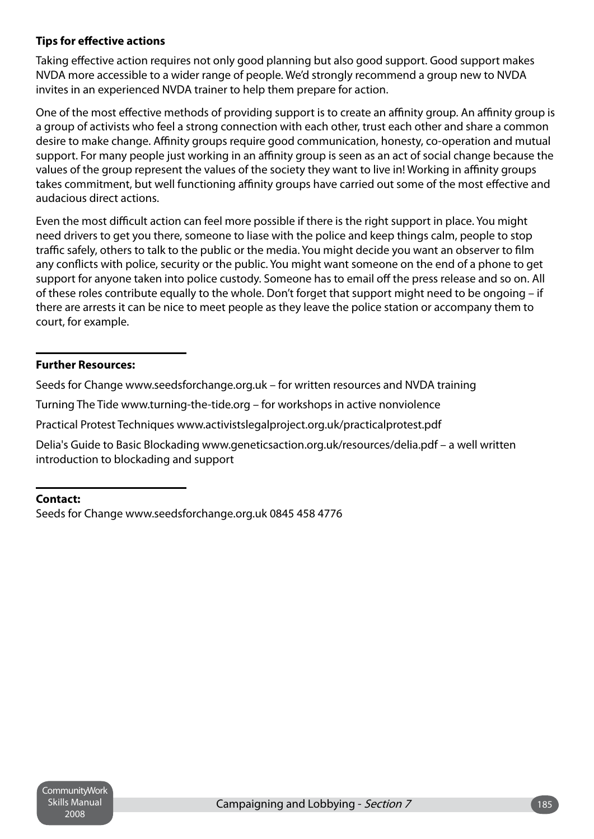### **Tips for effective actions**

Taking effective action requires not only good planning but also good support. Good support makes NVDA more accessible to a wider range of people. We'd strongly recommend a group new to NVDA invites in an experienced NVDA trainer to help them prepare for action.

One of the most effective methods of providing support is to create an affinity group. An affinity group is a group of activists who feel a strong connection with each other, trust each other and share a common desire to make change. Affinity groups require good communication, honesty, co-operation and mutual support. For many people just working in an affinity group is seen as an act of social change because the values of the group represent the values of the society they want to live in! Working in affinity groups takes commitment, but well functioning affinity groups have carried out some of the most effective and audacious direct actions.

Even the most difficult action can feel more possible if there is the right support in place. You might need drivers to get you there, someone to liase with the police and keep things calm, people to stop traffic safely, others to talk to the public or the media. You might decide you want an observer to film any conflicts with police, security or the public. You might want someone on the end of a phone to get support for anyone taken into police custody. Someone has to email off the press release and so on. All of these roles contribute equally to the whole. Don't forget that support might need to be ongoing – if there are arrests it can be nice to meet people as they leave the police station or accompany them to court, for example.

### **Further Resources:**

Seeds for Change www.seedsforchange.org.uk – for written resources and NVDA training

Turning The Tide www.turning-the-tide.org – for workshops in active nonviolence

Practical Protest Techniques www.activistslegalproject.org.uk/practicalprotest.pdf

Delia's Guide to Basic Blockading www.geneticsaction.org.uk/resources/delia.pdf – a well written introduction to blockading and support

### **Contact:**

Seeds for Change www.seedsforchange.org.uk 0845 458 4776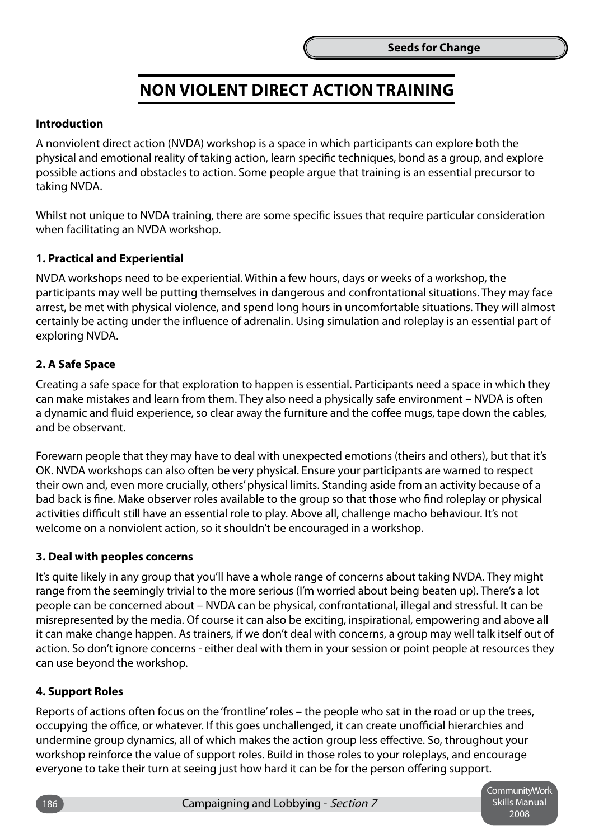### **Non Violent Direct Action Training**

### **Introduction**

A nonviolent direct action (NVDA) workshop is a space in which participants can explore both the physical and emotional reality of taking action, learn specific techniques, bond as a group, and explore possible actions and obstacles to action. Some people argue that training is an essential precursor to taking NVDA.

Whilst not unique to NVDA training, there are some specific issues that require particular consideration when facilitating an NVDA workshop.

### **1. Practical and Experiential**

NVDA workshops need to be experiential. Within a few hours, days or weeks of a workshop, the participants may well be putting themselves in dangerous and confrontational situations. They may face arrest, be met with physical violence, and spend long hours in uncomfortable situations. They will almost certainly be acting under the influence of adrenalin. Using simulation and roleplay is an essential part of exploring NVDA.

### **2. A Safe Space**

Creating a safe space for that exploration to happen is essential. Participants need a space in which they can make mistakes and learn from them. They also need a physically safe environment – NVDA is often a dynamic and fluid experience, so clear away the furniture and the coffee mugs, tape down the cables, and be observant.

Forewarn people that they may have to deal with unexpected emotions (theirs and others), but that it's OK. NVDA workshops can also often be very physical. Ensure your participants are warned to respect their own and, even more crucially, others' physical limits. Standing aside from an activity because of a bad back is fine. Make observer roles available to the group so that those who find roleplay or physical activities difficult still have an essential role to play. Above all, challenge macho behaviour. It's not welcome on a nonviolent action, so it shouldn't be encouraged in a workshop.

#### **3. Deal with peoples concerns**

It's quite likely in any group that you'll have a whole range of concerns about taking NVDA. They might range from the seemingly trivial to the more serious (I'm worried about being beaten up). There's a lot people can be concerned about – NVDA can be physical, confrontational, illegal and stressful. It can be misrepresented by the media. Of course it can also be exciting, inspirational, empowering and above all it can make change happen. As trainers, if we don't deal with concerns, a group may well talk itself out of action. So don't ignore concerns - either deal with them in your session or point people at resources they can use beyond the workshop.

#### **4. Support Roles**

Reports of actions often focus on the 'frontline' roles – the people who sat in the road or up the trees, occupying the office, or whatever. If this goes unchallenged, it can create unofficial hierarchies and undermine group dynamics, all of which makes the action group less effective. So, throughout your workshop reinforce the value of support roles. Build in those roles to your roleplays, and encourage everyone to take their turn at seeing just how hard it can be for the person offering support.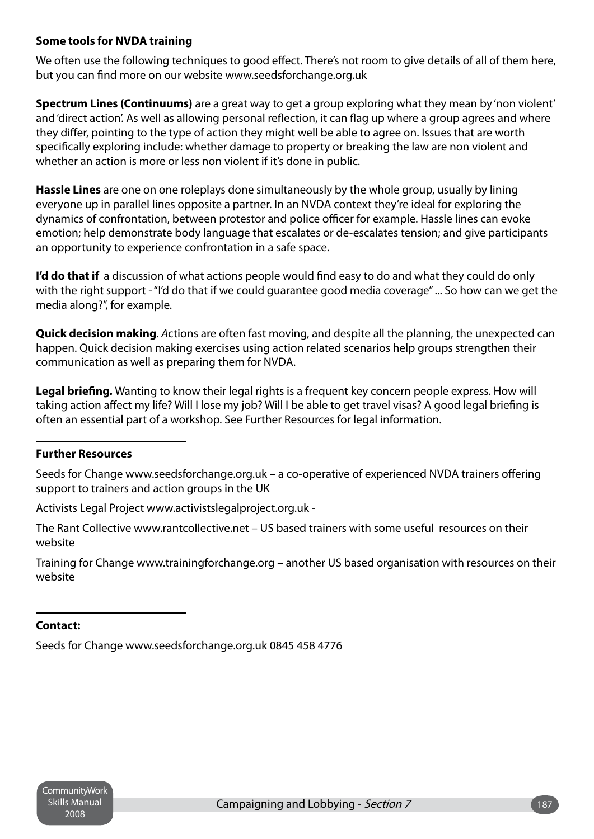### **Some tools for NVDA training**

We often use the following techniques to good effect. There's not room to give details of all of them here, but you can find more on our website www.seedsforchange.org.uk

**Spectrum Lines (Continuums)** are a great way to get a group exploring what they mean by 'non violent' and 'direct action'. As well as allowing personal reflection, it can flag up where a group agrees and where they differ, pointing to the type of action they might well be able to agree on. Issues that are worth specifically exploring include: whether damage to property or breaking the law are non violent and whether an action is more or less non violent if it's done in public.

**Hassle Lines** are one on one roleplays done simultaneously by the whole group, usually by lining everyone up in parallel lines opposite a partner. In an NVDA context they're ideal for exploring the dynamics of confrontation, between protestor and police officer for example. Hassle lines can evoke emotion; help demonstrate body language that escalates or de-escalates tension; and give participants an opportunity to experience confrontation in a safe space.

**I'd do that if** a discussion of what actions people would find easy to do and what they could do only with the right support - "I'd do that if we could guarantee good media coverage" ... So how can we get the media along?", for example.

**Quick decision making***. A*ctions are often fast moving, and despite all the planning, the unexpected can happen. Quick decision making exercises using action related scenarios help groups strengthen their communication as well as preparing them for NVDA.

**Legal briefing.** Wanting to know their legal rights is a frequent key concern people express. How will taking action affect my life? Will I lose my job? Will I be able to get travel visas? A good legal briefing is often an essential part of a workshop. See Further Resources for legal information.

### **Further Resources**

Seeds for Change www.seedsforchange.org.uk – a co-operative of experienced NVDA trainers offering support to trainers and action groups in the UK

Activists Legal Project www.activistslegalproject.org.uk -

The Rant Collective www.rantcollective.net – US based trainers with some useful resources on their website

Training for Change www.trainingforchange.org – another US based organisation with resources on their website

### **Contact:**

Seeds for Change www.seedsforchange.org.uk 0845 458 4776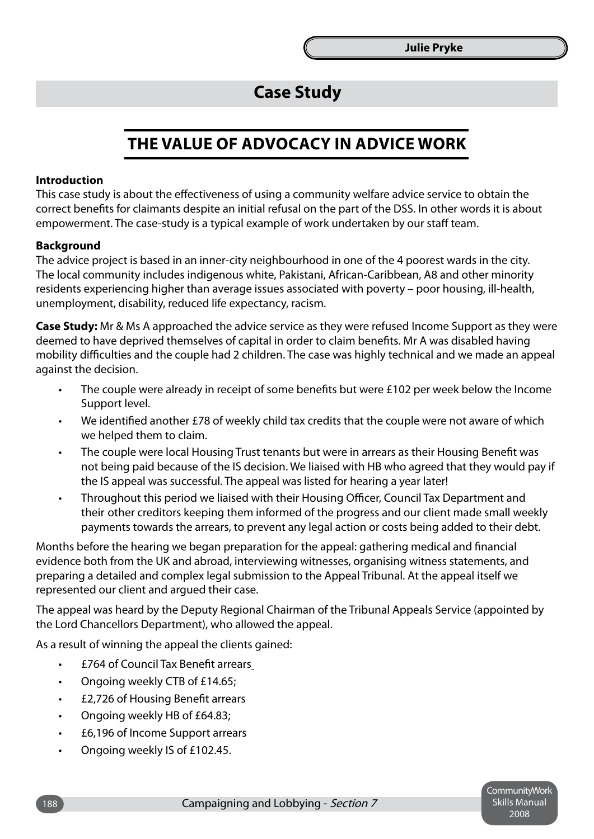### **Case Study**

### **The Value of Advocacy in Advice Work**

### **Introduction**

This case study is about the effectiveness of using a community welfare advice service to obtain the correct benefits for claimants despite an initial refusal on the part of the DSS. In other words it is about empowerment. The case-study is a typical example of work undertaken by our staff team.

#### **Background**

The advice project is based in an inner-city neighbourhood in one of the 4 poorest wards in the city. The local community includes indigenous white, Pakistani, African-Caribbean, A8 and other minority residents experiencing higher than average issues associated with poverty – poor housing, ill-health, unemployment, disability, reduced life expectancy, racism.

**Case Study:** Mr & Ms A approached the advice service as they were refused Income Support as they were deemed to have deprived themselves of capital in order to claim benefits. Mr A was disabled having mobility difficulties and the couple had 2 children. The case was highly technical and we made an appeal against the decision.

- The couple were already in receipt of some benefits but were £102 per week below the Income Support level. •
- We identified another £78 of weekly child tax credits that the couple were not aware of which we helped them to claim. •
- The couple were local Housing Trust tenants but were in arrears as their Housing Benefit was not being paid because of the IS decision. We liaised with HB who agreed that they would pay if the IS appeal was successful. The appeal was listed for hearing a year later! •
- Throughout this period we liaised with their Housing Officer, Council Tax Department and their other creditors keeping them informed of the progress and our client made small weekly payments towards the arrears, to prevent any legal action or costs being added to their debt. •

Months before the hearing we began preparation for the appeal: gathering medical and financial evidence both from the UK and abroad, interviewing witnesses, organising witness statements, and preparing a detailed and complex legal submission to the Appeal Tribunal. At the appeal itself we represented our client and argued their case.

The appeal was heard by the Deputy Regional Chairman of the Tribunal Appeals Service (appointed by the Lord Chancellors Department), who allowed the appeal.

As a result of winning the appeal the clients gained:

- £764 of Council Tax Benefit arrears •
- Ongoing weekly CTB of £14.65; •
- £2,726 of Housing Benefit arrears •
- Ongoing weekly HB of £64.83; •
- £6,196 of Income Support arrears •
- Ongoing weekly IS of £102.45. •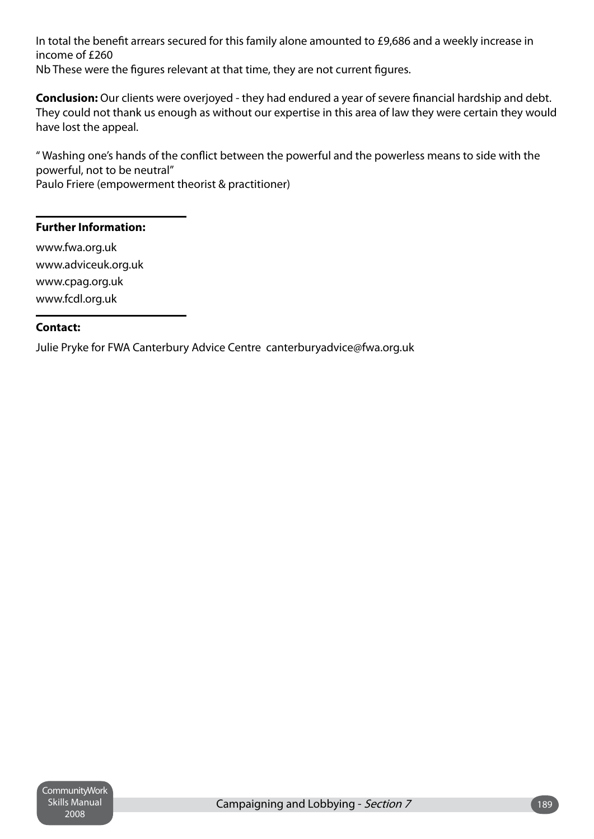In total the benefit arrears secured for this family alone amounted to £9,686 and a weekly increase in income of £260 Nb These were the figures relevant at that time, they are not current figures.

**Conclusion:** Our clients were overjoyed - they had endured a year of severe financial hardship and debt. They could not thank us enough as without our expertise in this area of law they were certain they would have lost the appeal.

" Washing one's hands of the conflict between the powerful and the powerless means to side with the powerful, not to be neutral"

Paulo Friere (empowerment theorist & practitioner)

### **Further Information:**

www.fwa.org.uk www.adviceuk.org.uk www.cpag.org.uk www.fcdl.org.uk

### **Contact:**

Julie Pryke for FWA Canterbury Advice Centre canterburyadvice@fwa.org.uk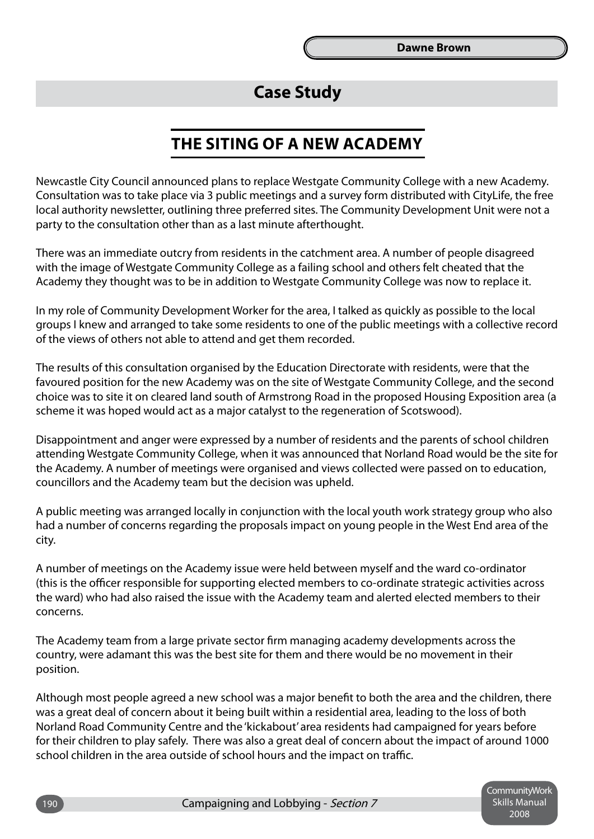### **Case Study**

### **The Siting of a New Academy**

Newcastle City Council announced plans to replace Westgate Community College with a new Academy. Consultation was to take place via 3 public meetings and a survey form distributed with CityLife, the free local authority newsletter, outlining three preferred sites. The Community Development Unit were not a party to the consultation other than as a last minute afterthought.

There was an immediate outcry from residents in the catchment area. A number of people disagreed with the image of Westgate Community College as a failing school and others felt cheated that the Academy they thought was to be in addition to Westgate Community College was now to replace it.

In my role of Community Development Worker for the area, I talked as quickly as possible to the local groups I knew and arranged to take some residents to one of the public meetings with a collective record of the views of others not able to attend and get them recorded.

The results of this consultation organised by the Education Directorate with residents, were that the favoured position for the new Academy was on the site of Westgate Community College, and the second choice was to site it on cleared land south of Armstrong Road in the proposed Housing Exposition area (a scheme it was hoped would act as a major catalyst to the regeneration of Scotswood).

Disappointment and anger were expressed by a number of residents and the parents of school children attending Westgate Community College, when it was announced that Norland Road would be the site for the Academy. A number of meetings were organised and views collected were passed on to education, councillors and the Academy team but the decision was upheld.

A public meeting was arranged locally in conjunction with the local youth work strategy group who also had a number of concerns regarding the proposals impact on young people in the West End area of the city.

A number of meetings on the Academy issue were held between myself and the ward co-ordinator (this is the officer responsible for supporting elected members to co-ordinate strategic activities across the ward) who had also raised the issue with the Academy team and alerted elected members to their concerns.

The Academy team from a large private sector firm managing academy developments across the country, were adamant this was the best site for them and there would be no movement in their position.

Although most people agreed a new school was a major benefit to both the area and the children, there was a great deal of concern about it being built within a residential area, leading to the loss of both Norland Road Community Centre and the 'kickabout' area residents had campaigned for years before for their children to play safely. There was also a great deal of concern about the impact of around 1000 school children in the area outside of school hours and the impact on traffic.

> Community Work Skills Manual 2008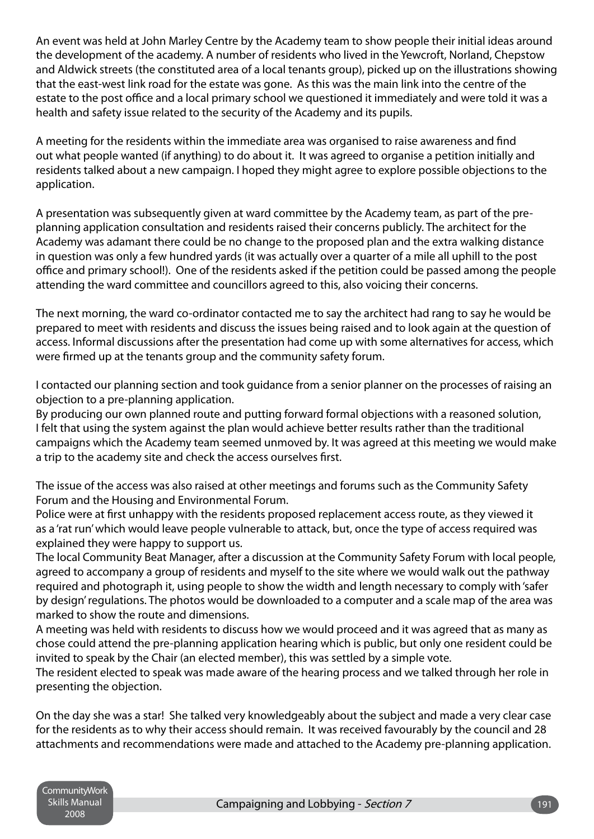An event was held at John Marley Centre by the Academy team to show people their initial ideas around the development of the academy. A number of residents who lived in the Yewcroft, Norland, Chepstow and Aldwick streets (the constituted area of a local tenants group), picked up on the illustrations showing that the east-west link road for the estate was gone. As this was the main link into the centre of the estate to the post office and a local primary school we questioned it immediately and were told it was a health and safety issue related to the security of the Academy and its pupils.

A meeting for the residents within the immediate area was organised to raise awareness and find out what people wanted (if anything) to do about it. It was agreed to organise a petition initially and residents talked about a new campaign. I hoped they might agree to explore possible objections to the application.

A presentation was subsequently given at ward committee by the Academy team, as part of the preplanning application consultation and residents raised their concerns publicly. The architect for the Academy was adamant there could be no change to the proposed plan and the extra walking distance in question was only a few hundred yards (it was actually over a quarter of a mile all uphill to the post office and primary school!). One of the residents asked if the petition could be passed among the people attending the ward committee and councillors agreed to this, also voicing their concerns.

The next morning, the ward co-ordinator contacted me to say the architect had rang to say he would be prepared to meet with residents and discuss the issues being raised and to look again at the question of access. Informal discussions after the presentation had come up with some alternatives for access, which were firmed up at the tenants group and the community safety forum.

I contacted our planning section and took guidance from a senior planner on the processes of raising an objection to a pre-planning application.

By producing our own planned route and putting forward formal objections with a reasoned solution, I felt that using the system against the plan would achieve better results rather than the traditional campaigns which the Academy team seemed unmoved by. It was agreed at this meeting we would make a trip to the academy site and check the access ourselves first.

The issue of the access was also raised at other meetings and forums such as the Community Safety Forum and the Housing and Environmental Forum.

Police were at first unhappy with the residents proposed replacement access route, as they viewed it as a 'rat run' which would leave people vulnerable to attack, but, once the type of access required was explained they were happy to support us.

The local Community Beat Manager, after a discussion at the Community Safety Forum with local people, agreed to accompany a group of residents and myself to the site where we would walk out the pathway required and photograph it, using people to show the width and length necessary to comply with 'safer by design' regulations. The photos would be downloaded to a computer and a scale map of the area was marked to show the route and dimensions.

A meeting was held with residents to discuss how we would proceed and it was agreed that as many as chose could attend the pre-planning application hearing which is public, but only one resident could be invited to speak by the Chair (an elected member), this was settled by a simple vote.

The resident elected to speak was made aware of the hearing process and we talked through her role in presenting the objection.

On the day she was a star! She talked very knowledgeably about the subject and made a very clear case for the residents as to why their access should remain. It was received favourably by the council and 28 attachments and recommendations were made and attached to the Academy pre-planning application.